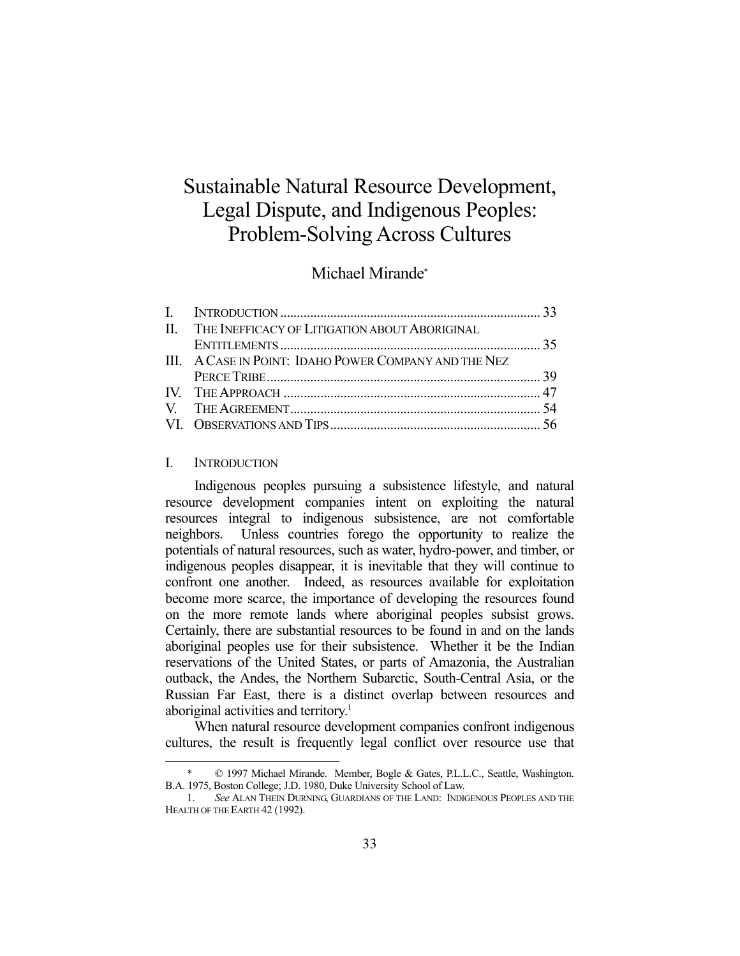# Sustainable Natural Resource Development, Legal Dispute, and Indigenous Peoples: Problem-Solving Across Cultures

# Michael Mirande\*

| II. THE INEFFICACY OF LITIGATION ABOUT ABORIGINAL     |  |
|-------------------------------------------------------|--|
|                                                       |  |
| III. A CASE IN POINT: IDAHO POWER COMPANY AND THE NEZ |  |
|                                                       |  |
|                                                       |  |
|                                                       |  |
|                                                       |  |

#### I. INTRODUCTION

1

 Indigenous peoples pursuing a subsistence lifestyle, and natural resource development companies intent on exploiting the natural resources integral to indigenous subsistence, are not comfortable neighbors. Unless countries forego the opportunity to realize the potentials of natural resources, such as water, hydro-power, and timber, or indigenous peoples disappear, it is inevitable that they will continue to confront one another. Indeed, as resources available for exploitation become more scarce, the importance of developing the resources found on the more remote lands where aboriginal peoples subsist grows. Certainly, there are substantial resources to be found in and on the lands aboriginal peoples use for their subsistence. Whether it be the Indian reservations of the United States, or parts of Amazonia, the Australian outback, the Andes, the Northern Subarctic, South-Central Asia, or the Russian Far East, there is a distinct overlap between resources and aboriginal activities and territory.<sup>1</sup>

 When natural resource development companies confront indigenous cultures, the result is frequently legal conflict over resource use that

<sup>© 1997</sup> Michael Mirande. Member, Bogle & Gates, P.L.L.C., Seattle, Washington. B.A. 1975, Boston College; J.D. 1980, Duke University School of Law.

 <sup>1.</sup> *See* ALAN THEIN DURNING, GUARDIANS OF THE LAND: INDIGENOUS PEOPLES AND THE HEALTH OF THE EARTH 42 (1992).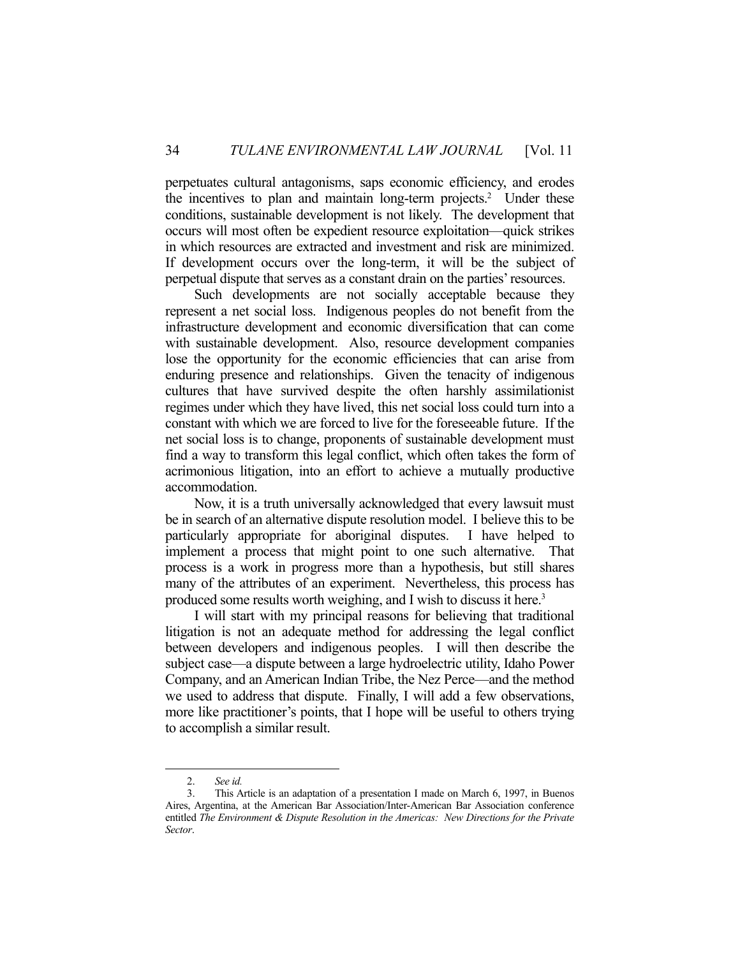perpetuates cultural antagonisms, saps economic efficiency, and erodes the incentives to plan and maintain long-term projects.<sup>2</sup> Under these conditions, sustainable development is not likely. The development that occurs will most often be expedient resource exploitation—quick strikes in which resources are extracted and investment and risk are minimized. If development occurs over the long-term, it will be the subject of perpetual dispute that serves as a constant drain on the parties' resources.

 Such developments are not socially acceptable because they represent a net social loss. Indigenous peoples do not benefit from the infrastructure development and economic diversification that can come with sustainable development. Also, resource development companies lose the opportunity for the economic efficiencies that can arise from enduring presence and relationships. Given the tenacity of indigenous cultures that have survived despite the often harshly assimilationist regimes under which they have lived, this net social loss could turn into a constant with which we are forced to live for the foreseeable future. If the net social loss is to change, proponents of sustainable development must find a way to transform this legal conflict, which often takes the form of acrimonious litigation, into an effort to achieve a mutually productive accommodation.

 Now, it is a truth universally acknowledged that every lawsuit must be in search of an alternative dispute resolution model. I believe this to be particularly appropriate for aboriginal disputes. I have helped to implement a process that might point to one such alternative. That process is a work in progress more than a hypothesis, but still shares many of the attributes of an experiment. Nevertheless, this process has produced some results worth weighing, and I wish to discuss it here.<sup>3</sup>

 I will start with my principal reasons for believing that traditional litigation is not an adequate method for addressing the legal conflict between developers and indigenous peoples. I will then describe the subject case—a dispute between a large hydroelectric utility, Idaho Power Company, and an American Indian Tribe, the Nez Perce—and the method we used to address that dispute. Finally, I will add a few observations, more like practitioner's points, that I hope will be useful to others trying to accomplish a similar result.

<u>.</u>

 <sup>2.</sup> *See id.* 

 <sup>3.</sup> This Article is an adaptation of a presentation I made on March 6, 1997, in Buenos Aires, Argentina, at the American Bar Association/Inter-American Bar Association conference entitled *The Environment & Dispute Resolution in the Americas: New Directions for the Private Sector*.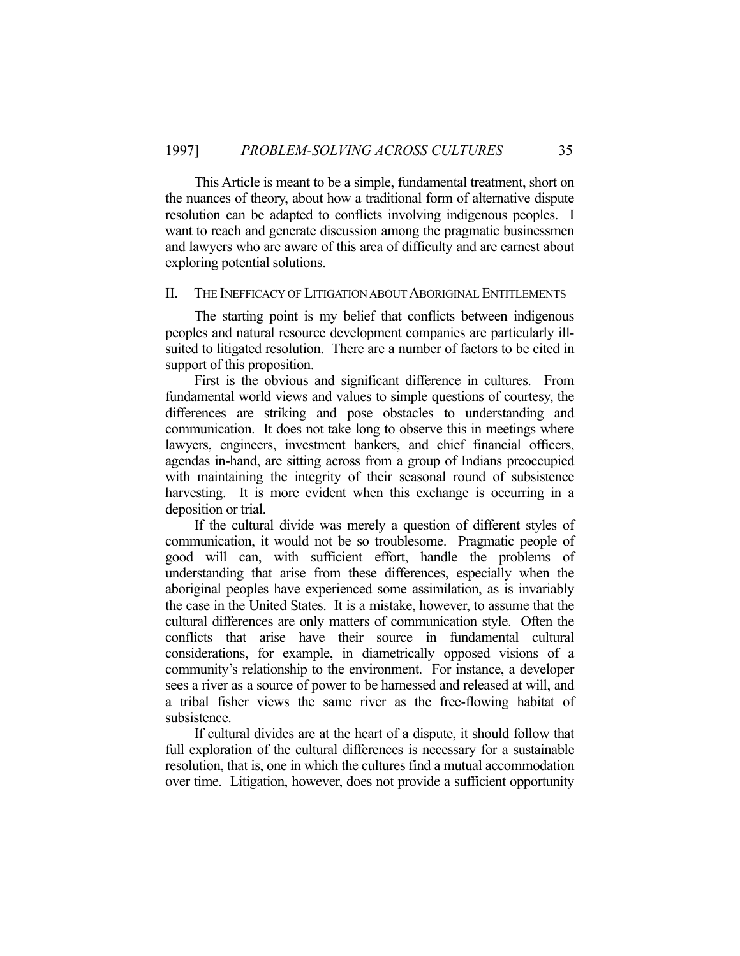This Article is meant to be a simple, fundamental treatment, short on the nuances of theory, about how a traditional form of alternative dispute resolution can be adapted to conflicts involving indigenous peoples. I want to reach and generate discussion among the pragmatic businessmen and lawyers who are aware of this area of difficulty and are earnest about exploring potential solutions.

### II. THE INEFFICACY OF LITIGATION ABOUT ABORIGINAL ENTITLEMENTS

 The starting point is my belief that conflicts between indigenous peoples and natural resource development companies are particularly illsuited to litigated resolution. There are a number of factors to be cited in support of this proposition.

 First is the obvious and significant difference in cultures. From fundamental world views and values to simple questions of courtesy, the differences are striking and pose obstacles to understanding and communication. It does not take long to observe this in meetings where lawyers, engineers, investment bankers, and chief financial officers, agendas in-hand, are sitting across from a group of Indians preoccupied with maintaining the integrity of their seasonal round of subsistence harvesting. It is more evident when this exchange is occurring in a deposition or trial.

 If the cultural divide was merely a question of different styles of communication, it would not be so troublesome. Pragmatic people of good will can, with sufficient effort, handle the problems of understanding that arise from these differences, especially when the aboriginal peoples have experienced some assimilation, as is invariably the case in the United States. It is a mistake, however, to assume that the cultural differences are only matters of communication style. Often the conflicts that arise have their source in fundamental cultural considerations, for example, in diametrically opposed visions of a community's relationship to the environment. For instance, a developer sees a river as a source of power to be harnessed and released at will, and a tribal fisher views the same river as the free-flowing habitat of subsistence.

 If cultural divides are at the heart of a dispute, it should follow that full exploration of the cultural differences is necessary for a sustainable resolution, that is, one in which the cultures find a mutual accommodation over time. Litigation, however, does not provide a sufficient opportunity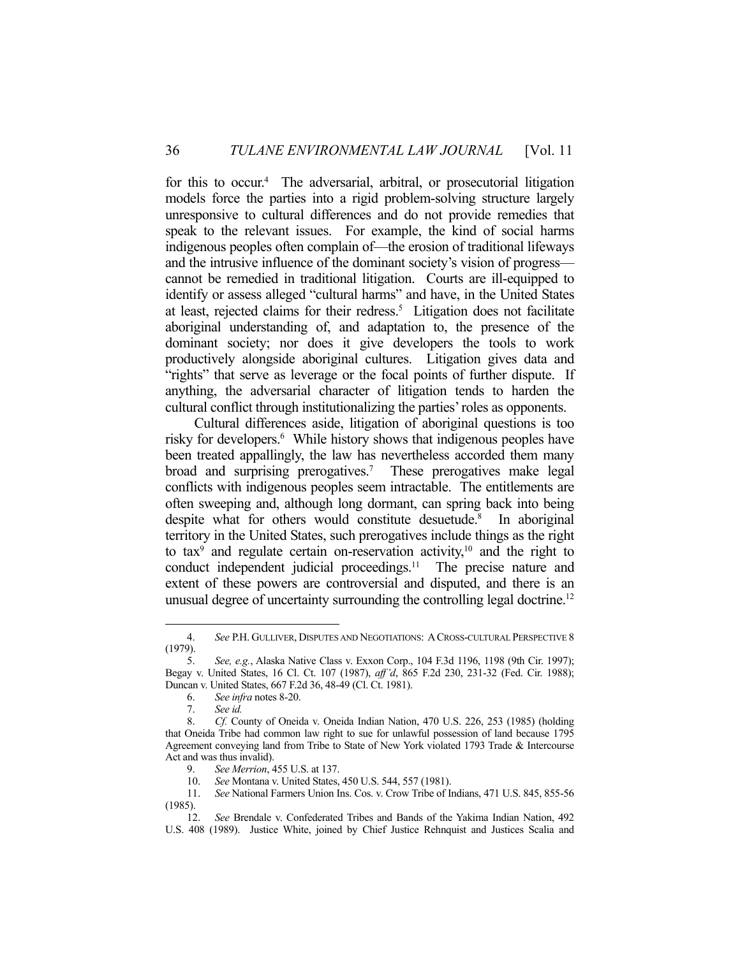for this to occur.<sup>4</sup> The adversarial, arbitral, or prosecutorial litigation models force the parties into a rigid problem-solving structure largely unresponsive to cultural differences and do not provide remedies that speak to the relevant issues. For example, the kind of social harms indigenous peoples often complain of—the erosion of traditional lifeways and the intrusive influence of the dominant society's vision of progress cannot be remedied in traditional litigation. Courts are ill-equipped to identify or assess alleged "cultural harms" and have, in the United States at least, rejected claims for their redress.<sup>5</sup> Litigation does not facilitate aboriginal understanding of, and adaptation to, the presence of the dominant society; nor does it give developers the tools to work productively alongside aboriginal cultures. Litigation gives data and "rights" that serve as leverage or the focal points of further dispute. If anything, the adversarial character of litigation tends to harden the cultural conflict through institutionalizing the parties' roles as opponents.

 Cultural differences aside, litigation of aboriginal questions is too risky for developers.<sup>6</sup> While history shows that indigenous peoples have been treated appallingly, the law has nevertheless accorded them many broad and surprising prerogatives.<sup>7</sup> These prerogatives make legal conflicts with indigenous peoples seem intractable. The entitlements are often sweeping and, although long dormant, can spring back into being despite what for others would constitute desuetude.<sup>8</sup> In aboriginal territory in the United States, such prerogatives include things as the right to tax<sup>9</sup> and regulate certain on-reservation activity,<sup>10</sup> and the right to conduct independent judicial proceedings.<sup>11</sup> The precise nature and extent of these powers are controversial and disputed, and there is an unusual degree of uncertainty surrounding the controlling legal doctrine.<sup>12</sup>

 <sup>4.</sup> *See* P.H. GULLIVER, DISPUTES AND NEGOTIATIONS: ACROSS-CULTURAL PERSPECTIVE 8 (1979).

 <sup>5.</sup> *See, e.g.*, Alaska Native Class v. Exxon Corp., 104 F.3d 1196, 1198 (9th Cir. 1997); Begay v. United States, 16 Cl. Ct. 107 (1987), *aff'd*, 865 F.2d 230, 231-32 (Fed. Cir. 1988); Duncan v. United States, 667 F.2d 36, 48-49 (Cl. Ct. 1981).

 <sup>6.</sup> *See infra* notes 8-20.

 <sup>7.</sup> *See id.*

 <sup>8.</sup> *Cf.* County of Oneida v. Oneida Indian Nation, 470 U.S. 226, 253 (1985) (holding that Oneida Tribe had common law right to sue for unlawful possession of land because 1795 Agreement conveying land from Tribe to State of New York violated 1793 Trade & Intercourse Act and was thus invalid).

 <sup>9.</sup> *See Merrion*, 455 U.S. at 137.

 <sup>10.</sup> *See* Montana v. United States, 450 U.S. 544, 557 (1981).

 <sup>11.</sup> *See* National Farmers Union Ins. Cos. v. Crow Tribe of Indians, 471 U.S. 845, 855-56 (1985).

 <sup>12.</sup> *See* Brendale v. Confederated Tribes and Bands of the Yakima Indian Nation, 492 U.S. 408 (1989). Justice White, joined by Chief Justice Rehnquist and Justices Scalia and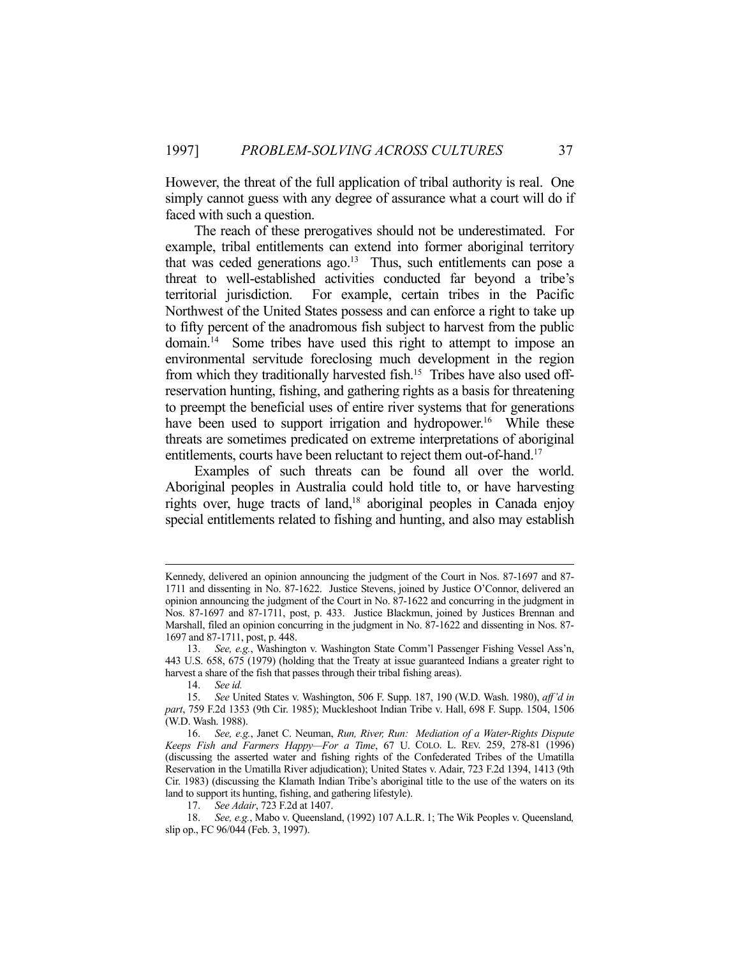However, the threat of the full application of tribal authority is real. One simply cannot guess with any degree of assurance what a court will do if faced with such a question.

 The reach of these prerogatives should not be underestimated. For example, tribal entitlements can extend into former aboriginal territory that was ceded generations ago. $13$  Thus, such entitlements can pose a threat to well-established activities conducted far beyond a tribe's territorial jurisdiction. For example, certain tribes in the Pacific Northwest of the United States possess and can enforce a right to take up to fifty percent of the anadromous fish subject to harvest from the public domain.14 Some tribes have used this right to attempt to impose an environmental servitude foreclosing much development in the region from which they traditionally harvested fish.<sup>15</sup> Tribes have also used offreservation hunting, fishing, and gathering rights as a basis for threatening to preempt the beneficial uses of entire river systems that for generations have been used to support irrigation and hydropower.<sup>16</sup> While these threats are sometimes predicated on extreme interpretations of aboriginal entitlements, courts have been reluctant to reject them out-of-hand.<sup>17</sup>

 Examples of such threats can be found all over the world. Aboriginal peoples in Australia could hold title to, or have harvesting rights over, huge tracts of land,18 aboriginal peoples in Canada enjoy special entitlements related to fishing and hunting, and also may establish

Kennedy, delivered an opinion announcing the judgment of the Court in Nos. 87-1697 and 87- 1711 and dissenting in No. 87-1622. Justice Stevens, joined by Justice O'Connor, delivered an opinion announcing the judgment of the Court in No. 87-1622 and concurring in the judgment in Nos. 87-1697 and 87-1711, post, p. 433. Justice Blackmun, joined by Justices Brennan and Marshall, filed an opinion concurring in the judgment in No. 87-1622 and dissenting in Nos. 87- 1697 and 87-1711, post, p. 448.

 <sup>13.</sup> *See, e.g.*, Washington v. Washington State Comm'l Passenger Fishing Vessel Ass'n, 443 U.S. 658, 675 (1979) (holding that the Treaty at issue guaranteed Indians a greater right to harvest a share of the fish that passes through their tribal fishing areas).

 <sup>14.</sup> *See id.*

 <sup>15.</sup> *See* United States v. Washington, 506 F. Supp. 187, 190 (W.D. Wash. 1980), *aff'd in part*, 759 F.2d 1353 (9th Cir. 1985); Muckleshoot Indian Tribe v. Hall, 698 F. Supp. 1504, 1506 (W.D. Wash. 1988).

 <sup>16.</sup> *See, e.g.*, Janet C. Neuman, *Run, River, Run: Mediation of a Water-Rights Dispute Keeps Fish and Farmers Happy—For a Time*, 67 U. COLO. L. REV. 259, 278-81 (1996) (discussing the asserted water and fishing rights of the Confederated Tribes of the Umatilla Reservation in the Umatilla River adjudication); United States v. Adair, 723 F.2d 1394, 1413 (9th Cir. 1983) (discussing the Klamath Indian Tribe's aboriginal title to the use of the waters on its land to support its hunting, fishing, and gathering lifestyle).

 <sup>17.</sup> *See Adair*, 723 F.2d at 1407.

 <sup>18.</sup> *See, e.g.*, Mabo v. Queensland, (1992) 107 A.L.R. 1; The Wik Peoples v. Queensland*,* slip op., FC 96/044 (Feb. 3, 1997).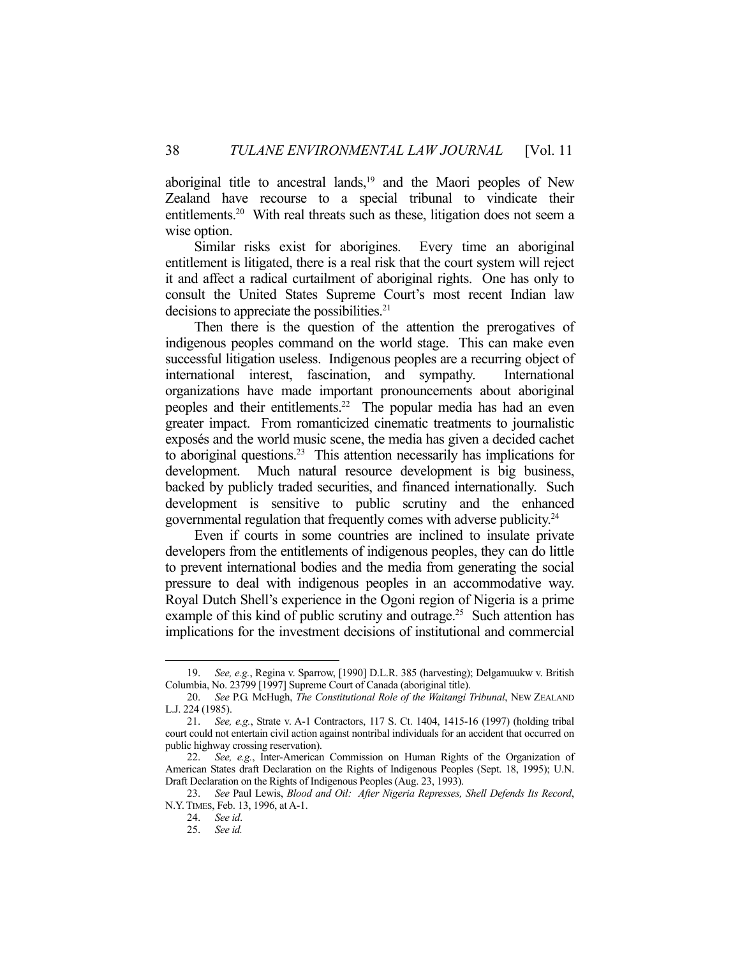aboriginal title to ancestral lands, $19$  and the Maori peoples of New Zealand have recourse to a special tribunal to vindicate their entitlements.<sup>20</sup> With real threats such as these, litigation does not seem a wise option.

 Similar risks exist for aborigines. Every time an aboriginal entitlement is litigated, there is a real risk that the court system will reject it and affect a radical curtailment of aboriginal rights. One has only to consult the United States Supreme Court's most recent Indian law decisions to appreciate the possibilities.<sup>21</sup>

 Then there is the question of the attention the prerogatives of indigenous peoples command on the world stage. This can make even successful litigation useless. Indigenous peoples are a recurring object of international interest, fascination, and sympathy. International organizations have made important pronouncements about aboriginal peoples and their entitlements.22 The popular media has had an even greater impact. From romanticized cinematic treatments to journalistic exposés and the world music scene, the media has given a decided cachet to aboriginal questions.23 This attention necessarily has implications for development. Much natural resource development is big business, backed by publicly traded securities, and financed internationally. Such development is sensitive to public scrutiny and the enhanced governmental regulation that frequently comes with adverse publicity.24

 Even if courts in some countries are inclined to insulate private developers from the entitlements of indigenous peoples, they can do little to prevent international bodies and the media from generating the social pressure to deal with indigenous peoples in an accommodative way. Royal Dutch Shell's experience in the Ogoni region of Nigeria is a prime example of this kind of public scrutiny and outrage.<sup>25</sup> Such attention has implications for the investment decisions of institutional and commercial

 <sup>19.</sup> *See, e.g.*, Regina v. Sparrow, [1990] D.L.R. 385 (harvesting); Delgamuukw v. British Columbia, No. 23799 [1997] Supreme Court of Canada (aboriginal title).

 <sup>20.</sup> *See* P.G. McHugh, *The Constitutional Role of the Waitangi Tribunal*, NEW ZEALAND L.J. 224 (1985).

 <sup>21.</sup> *See, e.g.*, Strate v. A-1 Contractors, 117 S. Ct. 1404, 1415-16 (1997) (holding tribal court could not entertain civil action against nontribal individuals for an accident that occurred on public highway crossing reservation).

 <sup>22.</sup> *See, e.g.*, Inter-American Commission on Human Rights of the Organization of American States draft Declaration on the Rights of Indigenous Peoples (Sept. 18, 1995); U.N. Draft Declaration on the Rights of Indigenous Peoples (Aug. 23, 1993).

 <sup>23.</sup> *See* Paul Lewis, *Blood and Oil: After Nigeria Represses, Shell Defends Its Record*, N.Y.TIMES, Feb. 13, 1996, at A-1.

 <sup>24.</sup> *See id*.

 <sup>25.</sup> *See id.*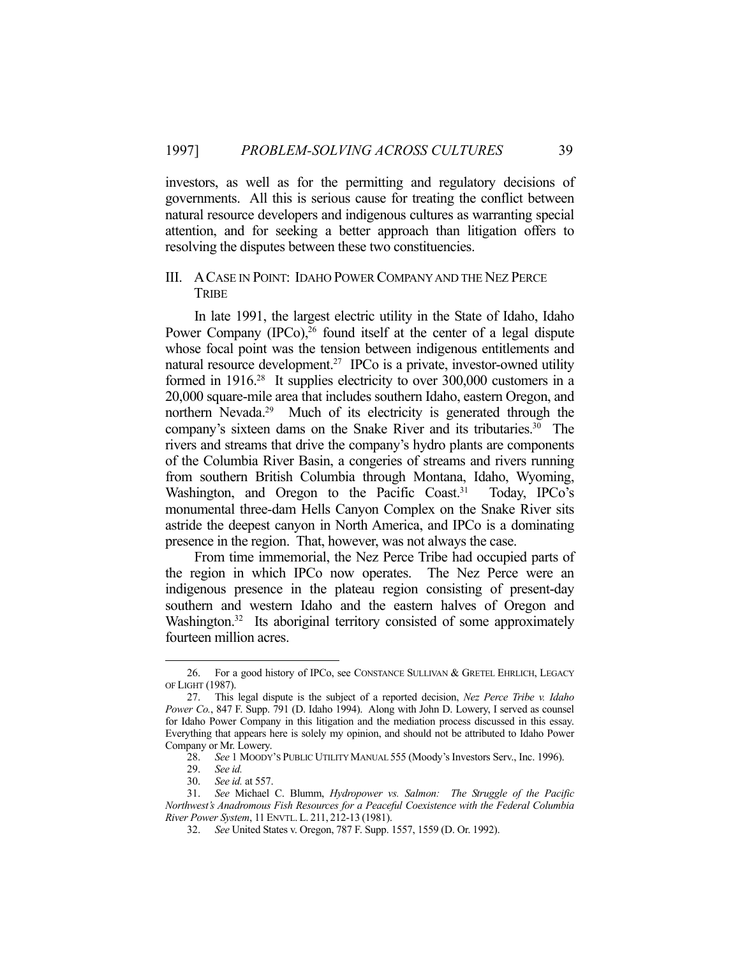investors, as well as for the permitting and regulatory decisions of governments. All this is serious cause for treating the conflict between natural resource developers and indigenous cultures as warranting special attention, and for seeking a better approach than litigation offers to resolving the disputes between these two constituencies.

## III. ACASE IN POINT: IDAHO POWER COMPANY AND THE NEZ PERCE TRIBE

 In late 1991, the largest electric utility in the State of Idaho, Idaho Power Company  $(IPC<sub>0</sub>)<sup>26</sup>$  found itself at the center of a legal dispute whose focal point was the tension between indigenous entitlements and natural resource development.<sup>27</sup> IPCo is a private, investor-owned utility formed in 1916.28 It supplies electricity to over 300,000 customers in a 20,000 square-mile area that includes southern Idaho, eastern Oregon, and northern Nevada.<sup>29</sup> Much of its electricity is generated through the company's sixteen dams on the Snake River and its tributaries.<sup>30</sup> The rivers and streams that drive the company's hydro plants are components of the Columbia River Basin, a congeries of streams and rivers running from southern British Columbia through Montana, Idaho, Wyoming, Washington, and Oregon to the Pacific Coast.<sup>31</sup> Today, IPCo's monumental three-dam Hells Canyon Complex on the Snake River sits astride the deepest canyon in North America, and IPCo is a dominating presence in the region. That, however, was not always the case.

 From time immemorial, the Nez Perce Tribe had occupied parts of the region in which IPCo now operates. The Nez Perce were an indigenous presence in the plateau region consisting of present-day southern and western Idaho and the eastern halves of Oregon and Washington.<sup>32</sup> Its aboriginal territory consisted of some approximately fourteen million acres.

<sup>26.</sup> For a good history of IPCo, see CONSTANCE SULLIVAN & GRETEL EHRLICH, LEGACY OF LIGHT (1987).

 <sup>27.</sup> This legal dispute is the subject of a reported decision, *Nez Perce Tribe v. Idaho Power Co.*, 847 F. Supp. 791 (D. Idaho 1994). Along with John D. Lowery, I served as counsel for Idaho Power Company in this litigation and the mediation process discussed in this essay. Everything that appears here is solely my opinion, and should not be attributed to Idaho Power Company or Mr. Lowery.

 <sup>28.</sup> *See* 1 MOODY'S PUBLIC UTILITY MANUAL 555 (Moody's Investors Serv., Inc. 1996).

 <sup>29.</sup> *See id.*

 <sup>30.</sup> *See id.* at 557.

 <sup>31.</sup> *See* Michael C. Blumm, *Hydropower vs. Salmon: The Struggle of the Pacific Northwest's Anadromous Fish Resources for a Peaceful Coexistence with the Federal Columbia River Power System*, 11 ENVTL. L. 211, 212-13 (1981).

 <sup>32.</sup> *See* United States v. Oregon, 787 F. Supp. 1557, 1559 (D. Or. 1992).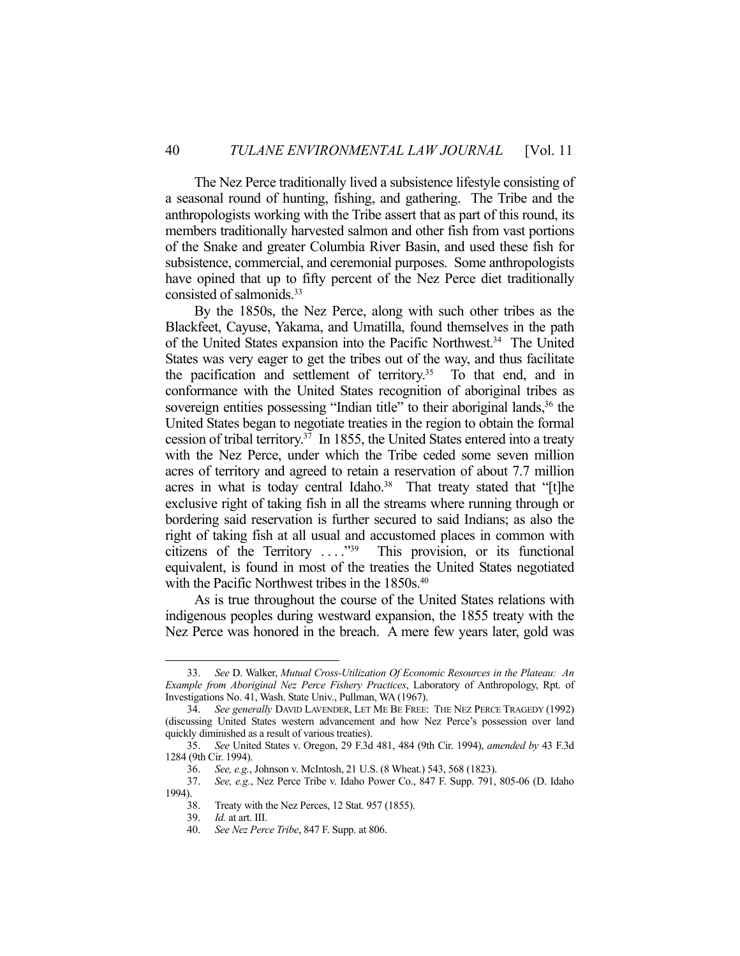The Nez Perce traditionally lived a subsistence lifestyle consisting of a seasonal round of hunting, fishing, and gathering. The Tribe and the anthropologists working with the Tribe assert that as part of this round, its members traditionally harvested salmon and other fish from vast portions of the Snake and greater Columbia River Basin, and used these fish for subsistence, commercial, and ceremonial purposes. Some anthropologists have opined that up to fifty percent of the Nez Perce diet traditionally consisted of salmonids.33

 By the 1850s, the Nez Perce, along with such other tribes as the Blackfeet, Cayuse, Yakama, and Umatilla, found themselves in the path of the United States expansion into the Pacific Northwest.<sup>34</sup> The United States was very eager to get the tribes out of the way, and thus facilitate the pacification and settlement of territory.<sup>35</sup> To that end, and in conformance with the United States recognition of aboriginal tribes as sovereign entities possessing "Indian title" to their aboriginal lands,<sup>36</sup> the United States began to negotiate treaties in the region to obtain the formal cession of tribal territory.37 In 1855, the United States entered into a treaty with the Nez Perce, under which the Tribe ceded some seven million acres of territory and agreed to retain a reservation of about 7.7 million acres in what is today central Idaho.<sup>38</sup> That treaty stated that "[t]he exclusive right of taking fish in all the streams where running through or bordering said reservation is further secured to said Indians; as also the right of taking fish at all usual and accustomed places in common with citizens of the Territory  $\dots$ ."<sup>39</sup> This provision, or its functional equivalent, is found in most of the treaties the United States negotiated with the Pacific Northwest tribes in the 1850s.<sup>40</sup>

 As is true throughout the course of the United States relations with indigenous peoples during westward expansion, the 1855 treaty with the Nez Perce was honored in the breach. A mere few years later, gold was

 <sup>33.</sup> *See* D. Walker, *Mutual Cross-Utilization Of Economic Resources in the Plateau: An Example from Aboriginal Nez Perce Fishery Practices*, Laboratory of Anthropology, Rpt. of Investigations No. 41, Wash. State Univ., Pullman, WA (1967).

 <sup>34.</sup> *See generally* DAVID LAVENDER, LET ME BE FREE: THE NEZ PERCE TRAGEDY (1992) (discussing United States western advancement and how Nez Perce's possession over land quickly diminished as a result of various treaties).

 <sup>35.</sup> *See* United States v. Oregon, 29 F.3d 481, 484 (9th Cir. 1994), *amended by* 43 F.3d 1284 (9th Cir. 1994).

 <sup>36.</sup> *See, e.g.*, Johnson v. McIntosh, 21 U.S. (8 Wheat.) 543, 568 (1823).

 <sup>37.</sup> *See, e.g.*, Nez Perce Tribe v. Idaho Power Co., 847 F. Supp. 791, 805-06 (D. Idaho 1994).

 <sup>38.</sup> Treaty with the Nez Perces, 12 Stat. 957 (1855).

 <sup>39.</sup> *Id.* at art. III.

 <sup>40.</sup> *See Nez Perce Tribe*, 847 F. Supp. at 806.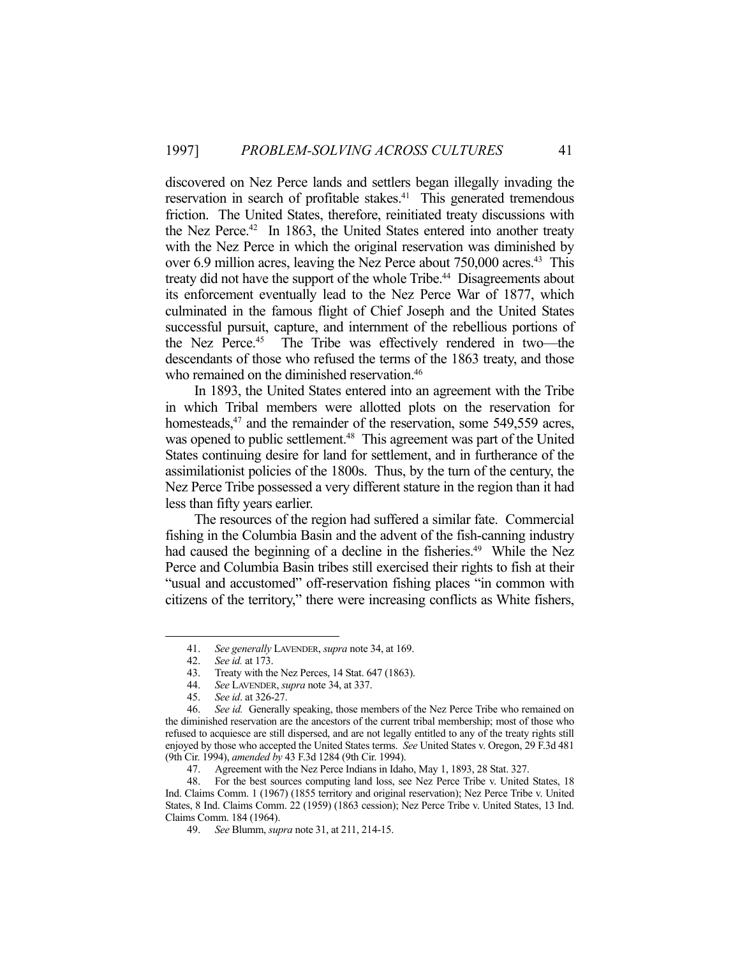discovered on Nez Perce lands and settlers began illegally invading the reservation in search of profitable stakes.<sup>41</sup> This generated tremendous friction. The United States, therefore, reinitiated treaty discussions with the Nez Perce.<sup>42</sup> In 1863, the United States entered into another treaty with the Nez Perce in which the original reservation was diminished by over 6.9 million acres, leaving the Nez Perce about 750,000 acres.<sup>43</sup> This treaty did not have the support of the whole Tribe.<sup>44</sup> Disagreements about its enforcement eventually lead to the Nez Perce War of 1877, which culminated in the famous flight of Chief Joseph and the United States successful pursuit, capture, and internment of the rebellious portions of the Nez Perce.45 The Tribe was effectively rendered in two—the descendants of those who refused the terms of the 1863 treaty, and those who remained on the diminished reservation.<sup>46</sup>

 In 1893, the United States entered into an agreement with the Tribe in which Tribal members were allotted plots on the reservation for homesteads,<sup>47</sup> and the remainder of the reservation, some 549,559 acres, was opened to public settlement.<sup>48</sup> This agreement was part of the United States continuing desire for land for settlement, and in furtherance of the assimilationist policies of the 1800s. Thus, by the turn of the century, the Nez Perce Tribe possessed a very different stature in the region than it had less than fifty years earlier.

 The resources of the region had suffered a similar fate. Commercial fishing in the Columbia Basin and the advent of the fish-canning industry had caused the beginning of a decline in the fisheries.<sup>49</sup> While the Nez Perce and Columbia Basin tribes still exercised their rights to fish at their "usual and accustomed" off-reservation fishing places "in common with citizens of the territory," there were increasing conflicts as White fishers,

 <sup>41.</sup> *See generally* LAVENDER, *supra* note 34, at 169.

 <sup>42.</sup> *See id.* at 173.

 <sup>43.</sup> Treaty with the Nez Perces, 14 Stat. 647 (1863).

 <sup>44.</sup> *See* LAVENDER, *supra* note 34, at 337.

 <sup>45.</sup> *See id*. at 326-27.

See id. Generally speaking, those members of the Nez Perce Tribe who remained on the diminished reservation are the ancestors of the current tribal membership; most of those who refused to acquiesce are still dispersed, and are not legally entitled to any of the treaty rights still enjoyed by those who accepted the United States terms. *See* United States v. Oregon, 29 F.3d 481 (9th Cir. 1994), *amended by* 43 F.3d 1284 (9th Cir. 1994).

 <sup>47.</sup> Agreement with the Nez Perce Indians in Idaho, May 1, 1893, 28 Stat. 327.

 <sup>48.</sup> For the best sources computing land loss, see Nez Perce Tribe v. United States, 18 Ind. Claims Comm. 1 (1967) (1855 territory and original reservation); Nez Perce Tribe v. United States, 8 Ind. Claims Comm. 22 (1959) (1863 cession); Nez Perce Tribe v. United States, 13 Ind. Claims Comm. 184 (1964).

 <sup>49.</sup> *See* Blumm, *supra* note 31, at 211, 214-15.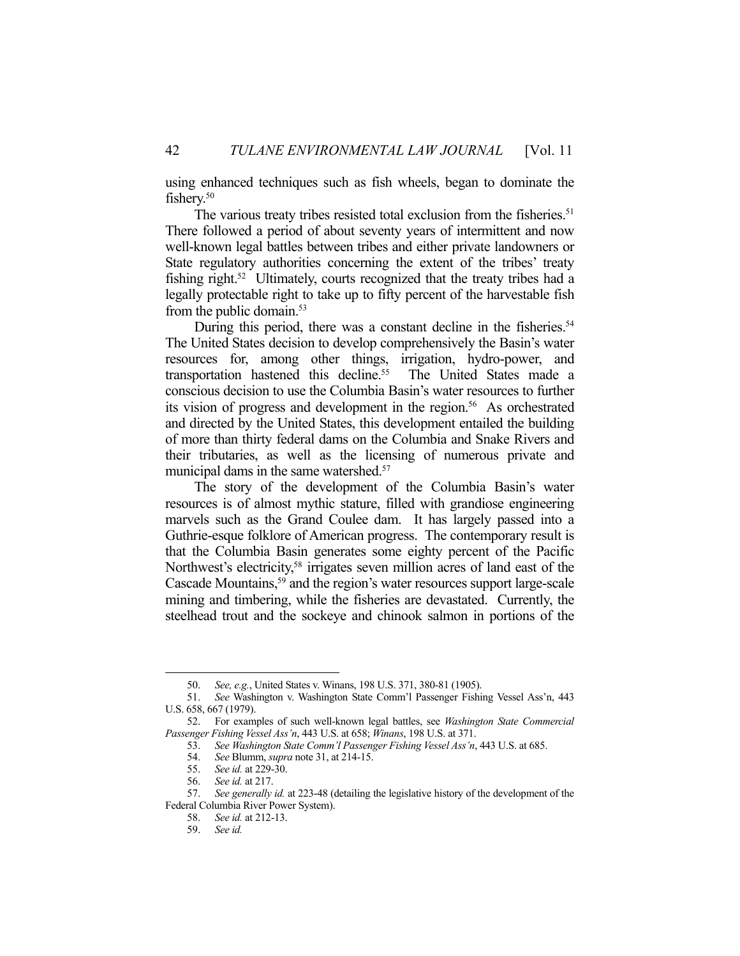using enhanced techniques such as fish wheels, began to dominate the fishery.<sup>50</sup>

The various treaty tribes resisted total exclusion from the fisheries.<sup>51</sup> There followed a period of about seventy years of intermittent and now well-known legal battles between tribes and either private landowners or State regulatory authorities concerning the extent of the tribes' treaty fishing right.<sup>52</sup> Ultimately, courts recognized that the treaty tribes had a legally protectable right to take up to fifty percent of the harvestable fish from the public domain.<sup>53</sup>

During this period, there was a constant decline in the fisheries.<sup>54</sup> The United States decision to develop comprehensively the Basin's water resources for, among other things, irrigation, hydro-power, and transportation hastened this decline.<sup>55</sup> The United States made a conscious decision to use the Columbia Basin's water resources to further its vision of progress and development in the region.<sup>56</sup> As orchestrated and directed by the United States, this development entailed the building of more than thirty federal dams on the Columbia and Snake Rivers and their tributaries, as well as the licensing of numerous private and municipal dams in the same watershed.<sup>57</sup>

 The story of the development of the Columbia Basin's water resources is of almost mythic stature, filled with grandiose engineering marvels such as the Grand Coulee dam. It has largely passed into a Guthrie-esque folklore of American progress. The contemporary result is that the Columbia Basin generates some eighty percent of the Pacific Northwest's electricity,<sup>58</sup> irrigates seven million acres of land east of the Cascade Mountains,<sup>59</sup> and the region's water resources support large-scale mining and timbering, while the fisheries are devastated. Currently, the steelhead trout and the sockeye and chinook salmon in portions of the

 <sup>50.</sup> *See, e.g.*, United States v. Winans, 198 U.S. 371, 380-81 (1905).

 <sup>51.</sup> *See* Washington v. Washington State Comm'l Passenger Fishing Vessel Ass'n, 443 U.S. 658, 667 (1979).

 <sup>52.</sup> For examples of such well-known legal battles, see *Washington State Commercial Passenger Fishing Vessel Ass'n*, 443 U.S. at 658; *Winans*, 198 U.S. at 371.

 <sup>53.</sup> *See Washington State Comm'l Passenger Fishing Vessel Ass'n*, 443 U.S. at 685.

 <sup>54.</sup> *See* Blumm, *supra* note 31, at 214-15.

 <sup>55.</sup> *See id.* at 229-30.

 <sup>56.</sup> *See id.* at 217.

 <sup>57.</sup> *See generally id.* at 223-48 (detailing the legislative history of the development of the Federal Columbia River Power System).

 <sup>58.</sup> *See id.* at 212-13.

 <sup>59.</sup> *See id.*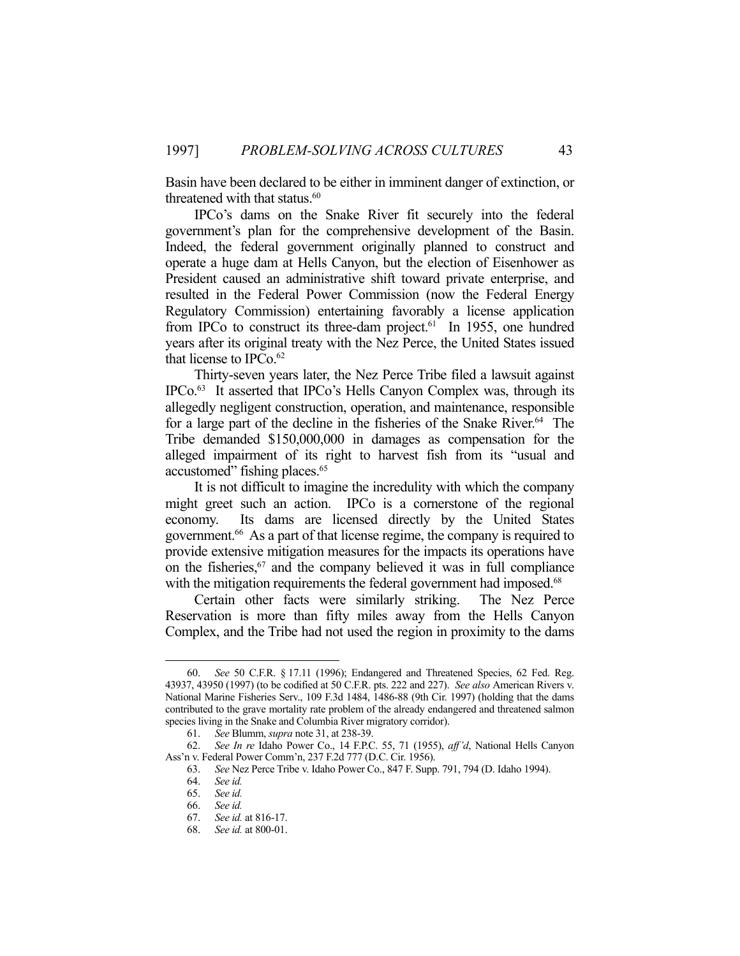Basin have been declared to be either in imminent danger of extinction, or threatened with that status.<sup>60</sup>

 IPCo's dams on the Snake River fit securely into the federal government's plan for the comprehensive development of the Basin. Indeed, the federal government originally planned to construct and operate a huge dam at Hells Canyon, but the election of Eisenhower as President caused an administrative shift toward private enterprise, and resulted in the Federal Power Commission (now the Federal Energy Regulatory Commission) entertaining favorably a license application from IPCo to construct its three-dam project.<sup>61</sup> In 1955, one hundred years after its original treaty with the Nez Perce, the United States issued that license to IPCo.<sup>62</sup>

 Thirty-seven years later, the Nez Perce Tribe filed a lawsuit against IPCo.63 It asserted that IPCo's Hells Canyon Complex was, through its allegedly negligent construction, operation, and maintenance, responsible for a large part of the decline in the fisheries of the Snake River.<sup>64</sup> The Tribe demanded \$150,000,000 in damages as compensation for the alleged impairment of its right to harvest fish from its "usual and accustomed" fishing places.<sup>65</sup>

 It is not difficult to imagine the incredulity with which the company might greet such an action. IPCo is a cornerstone of the regional economy. Its dams are licensed directly by the United States government.66 As a part of that license regime, the company is required to provide extensive mitigation measures for the impacts its operations have on the fisheries, $67$  and the company believed it was in full compliance with the mitigation requirements the federal government had imposed.<sup>68</sup>

 Certain other facts were similarly striking. The Nez Perce Reservation is more than fifty miles away from the Hells Canyon Complex, and the Tribe had not used the region in proximity to the dams

 <sup>60.</sup> *See* 50 C.F.R. § 17.11 (1996); Endangered and Threatened Species, 62 Fed. Reg. 43937, 43950 (1997) (to be codified at 50 C.F.R. pts. 222 and 227). *See also* American Rivers v. National Marine Fisheries Serv., 109 F.3d 1484, 1486-88 (9th Cir. 1997) (holding that the dams contributed to the grave mortality rate problem of the already endangered and threatened salmon species living in the Snake and Columbia River migratory corridor).

 <sup>61.</sup> *See* Blumm, *supra* note 31, at 238-39.

 <sup>62.</sup> *See In re* Idaho Power Co., 14 F.P.C. 55, 71 (1955), *aff'd*, National Hells Canyon Ass'n v. Federal Power Comm'n, 237 F.2d 777 (D.C. Cir. 1956).

 <sup>63.</sup> *See* Nez Perce Tribe v. Idaho Power Co., 847 F. Supp. 791, 794 (D. Idaho 1994).

 <sup>64.</sup> *See id.*

 <sup>65.</sup> *See id.* 

 <sup>66.</sup> *See id.* 

 <sup>67.</sup> *See id.* at 816-17.

 <sup>68.</sup> *See id.* at 800-01.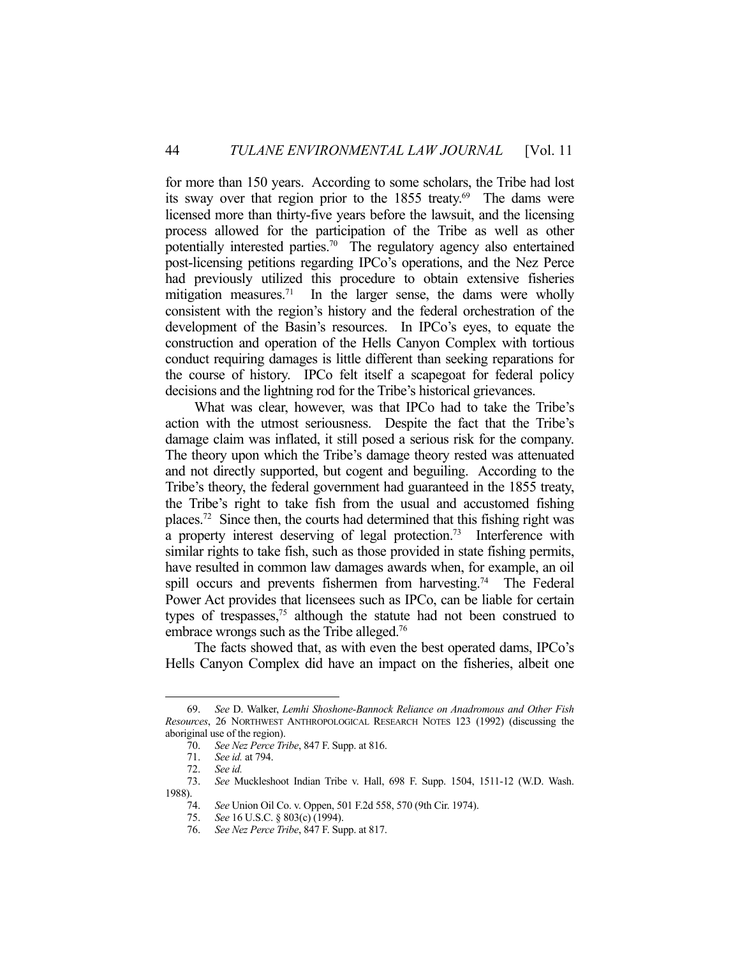for more than 150 years. According to some scholars, the Tribe had lost its sway over that region prior to the 1855 treaty.<sup>69</sup> The dams were licensed more than thirty-five years before the lawsuit, and the licensing process allowed for the participation of the Tribe as well as other potentially interested parties.70 The regulatory agency also entertained post-licensing petitions regarding IPCo's operations, and the Nez Perce had previously utilized this procedure to obtain extensive fisheries mitigation measures.<sup>71</sup> In the larger sense, the dams were wholly consistent with the region's history and the federal orchestration of the development of the Basin's resources. In IPCo's eyes, to equate the construction and operation of the Hells Canyon Complex with tortious conduct requiring damages is little different than seeking reparations for the course of history. IPCo felt itself a scapegoat for federal policy decisions and the lightning rod for the Tribe's historical grievances.

 What was clear, however, was that IPCo had to take the Tribe's action with the utmost seriousness. Despite the fact that the Tribe's damage claim was inflated, it still posed a serious risk for the company. The theory upon which the Tribe's damage theory rested was attenuated and not directly supported, but cogent and beguiling. According to the Tribe's theory, the federal government had guaranteed in the 1855 treaty, the Tribe's right to take fish from the usual and accustomed fishing places.72 Since then, the courts had determined that this fishing right was a property interest deserving of legal protection.<sup>73</sup> Interference with similar rights to take fish, such as those provided in state fishing permits, have resulted in common law damages awards when, for example, an oil spill occurs and prevents fishermen from harvesting.<sup>74</sup> The Federal Power Act provides that licensees such as IPCo, can be liable for certain types of trespasses,75 although the statute had not been construed to embrace wrongs such as the Tribe alleged.<sup>76</sup>

 The facts showed that, as with even the best operated dams, IPCo's Hells Canyon Complex did have an impact on the fisheries, albeit one

 <sup>69.</sup> *See* D. Walker, *Lemhi Shoshone-Bannock Reliance on Anadromous and Other Fish Resources*, 26 NORTHWEST ANTHROPOLOGICAL RESEARCH NOTES 123 (1992) (discussing the aboriginal use of the region).

 <sup>70.</sup> *See Nez Perce Tribe*, 847 F. Supp. at 816.

 <sup>71.</sup> *See id.* at 794.

 <sup>72.</sup> *See id.* 

 <sup>73.</sup> *See* Muckleshoot Indian Tribe v. Hall, 698 F. Supp. 1504, 1511-12 (W.D. Wash. 1988).

 <sup>74.</sup> *See* Union Oil Co. v. Oppen, 501 F.2d 558, 570 (9th Cir. 1974).

 <sup>75.</sup> *See* 16 U.S.C. § 803(c) (1994).

 <sup>76.</sup> *See Nez Perce Tribe*, 847 F. Supp. at 817.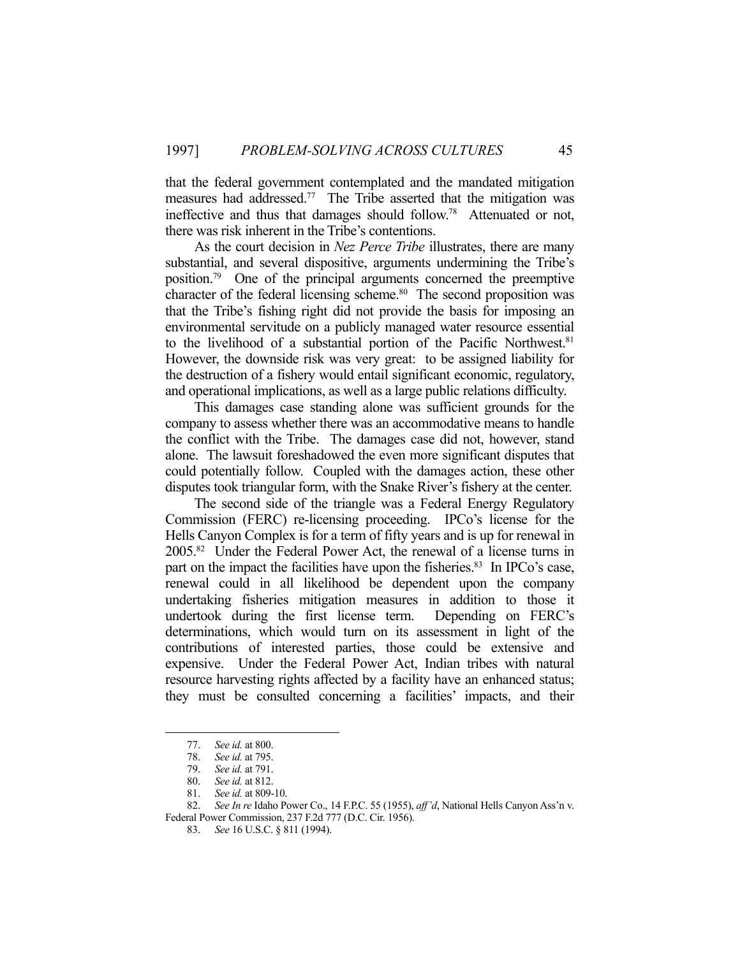that the federal government contemplated and the mandated mitigation measures had addressed.<sup>77</sup> The Tribe asserted that the mitigation was ineffective and thus that damages should follow.78 Attenuated or not, there was risk inherent in the Tribe's contentions.

 As the court decision in *Nez Perce Tribe* illustrates, there are many substantial, and several dispositive, arguments undermining the Tribe's position.79 One of the principal arguments concerned the preemptive character of the federal licensing scheme. $80$  The second proposition was that the Tribe's fishing right did not provide the basis for imposing an environmental servitude on a publicly managed water resource essential to the livelihood of a substantial portion of the Pacific Northwest.<sup>81</sup> However, the downside risk was very great: to be assigned liability for the destruction of a fishery would entail significant economic, regulatory, and operational implications, as well as a large public relations difficulty.

 This damages case standing alone was sufficient grounds for the company to assess whether there was an accommodative means to handle the conflict with the Tribe. The damages case did not, however, stand alone. The lawsuit foreshadowed the even more significant disputes that could potentially follow. Coupled with the damages action, these other disputes took triangular form, with the Snake River's fishery at the center.

 The second side of the triangle was a Federal Energy Regulatory Commission (FERC) re-licensing proceeding. IPCo's license for the Hells Canyon Complex is for a term of fifty years and is up for renewal in 2005.82 Under the Federal Power Act, the renewal of a license turns in part on the impact the facilities have upon the fisheries.<sup>83</sup> In IPCo's case, renewal could in all likelihood be dependent upon the company undertaking fisheries mitigation measures in addition to those it undertook during the first license term. Depending on FERC's determinations, which would turn on its assessment in light of the contributions of interested parties, those could be extensive and expensive. Under the Federal Power Act, Indian tribes with natural resource harvesting rights affected by a facility have an enhanced status; they must be consulted concerning a facilities' impacts, and their

 <sup>77.</sup> *See id.* at 800.

 <sup>78.</sup> *See id.* at 795.

 <sup>79.</sup> *See id.* at 791.

 <sup>80.</sup> *See id.* at 812.

 <sup>81.</sup> *See id.* at 809-10.

 <sup>82.</sup> *See In re* Idaho Power Co., 14 F.P.C. 55 (1955), *aff'd*, National Hells Canyon Ass'n v. Federal Power Commission, 237 F.2d 777 (D.C. Cir. 1956).

 <sup>83.</sup> *See* 16 U.S.C. § 811 (1994).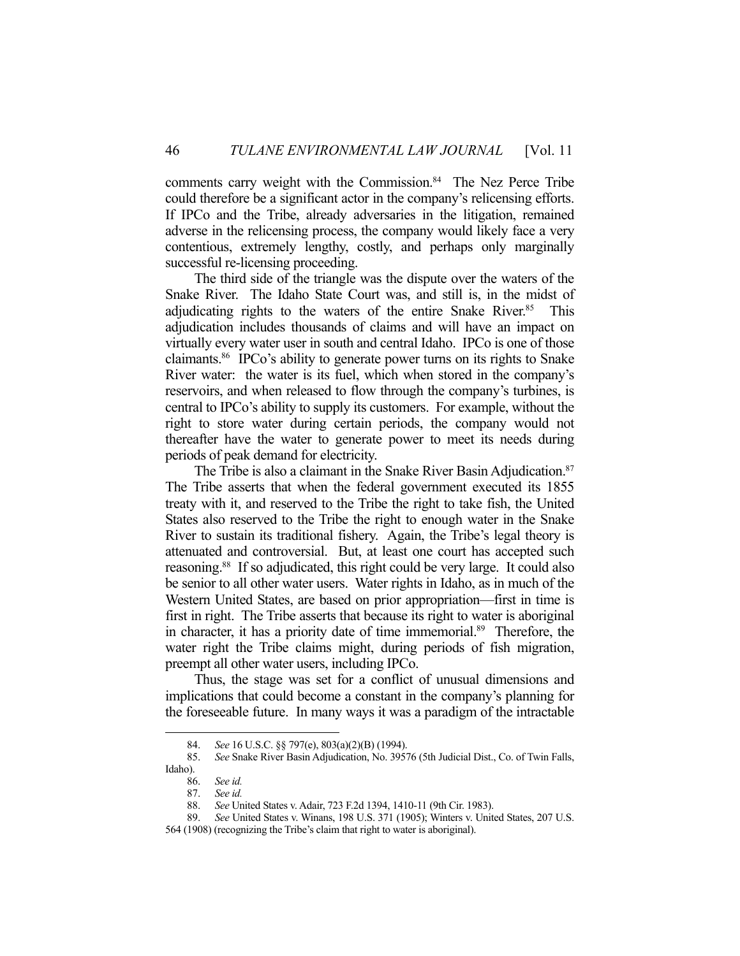comments carry weight with the Commission.<sup>84</sup> The Nez Perce Tribe could therefore be a significant actor in the company's relicensing efforts. If IPCo and the Tribe, already adversaries in the litigation, remained adverse in the relicensing process, the company would likely face a very contentious, extremely lengthy, costly, and perhaps only marginally successful re-licensing proceeding.

 The third side of the triangle was the dispute over the waters of the Snake River. The Idaho State Court was, and still is, in the midst of adjudicating rights to the waters of the entire Snake River.<sup>85</sup> This adjudication includes thousands of claims and will have an impact on virtually every water user in south and central Idaho. IPCo is one of those claimants.86 IPCo's ability to generate power turns on its rights to Snake River water: the water is its fuel, which when stored in the company's reservoirs, and when released to flow through the company's turbines, is central to IPCo's ability to supply its customers. For example, without the right to store water during certain periods, the company would not thereafter have the water to generate power to meet its needs during periods of peak demand for electricity.

The Tribe is also a claimant in the Snake River Basin Adjudication.<sup>87</sup> The Tribe asserts that when the federal government executed its 1855 treaty with it, and reserved to the Tribe the right to take fish, the United States also reserved to the Tribe the right to enough water in the Snake River to sustain its traditional fishery. Again, the Tribe's legal theory is attenuated and controversial. But, at least one court has accepted such reasoning.<sup>88</sup> If so adjudicated, this right could be very large. It could also be senior to all other water users. Water rights in Idaho, as in much of the Western United States, are based on prior appropriation—first in time is first in right. The Tribe asserts that because its right to water is aboriginal in character, it has a priority date of time immemorial.<sup>89</sup> Therefore, the water right the Tribe claims might, during periods of fish migration, preempt all other water users, including IPCo.

 Thus, the stage was set for a conflict of unusual dimensions and implications that could become a constant in the company's planning for the foreseeable future. In many ways it was a paradigm of the intractable

 <sup>84.</sup> *See* 16 U.S.C. §§ 797(e), 803(a)(2)(B) (1994).

 <sup>85.</sup> *See* Snake River Basin Adjudication, No. 39576 (5th Judicial Dist., Co. of Twin Falls, Idaho).

 <sup>86.</sup> *See id.*

 <sup>87.</sup> *See id.*

 <sup>88.</sup> *See* United States v. Adair, 723 F.2d 1394, 1410-11 (9th Cir. 1983).

 <sup>89.</sup> *See* United States v. Winans, 198 U.S. 371 (1905); Winters v. United States, 207 U.S.

<sup>564 (1908) (</sup>recognizing the Tribe's claim that right to water is aboriginal).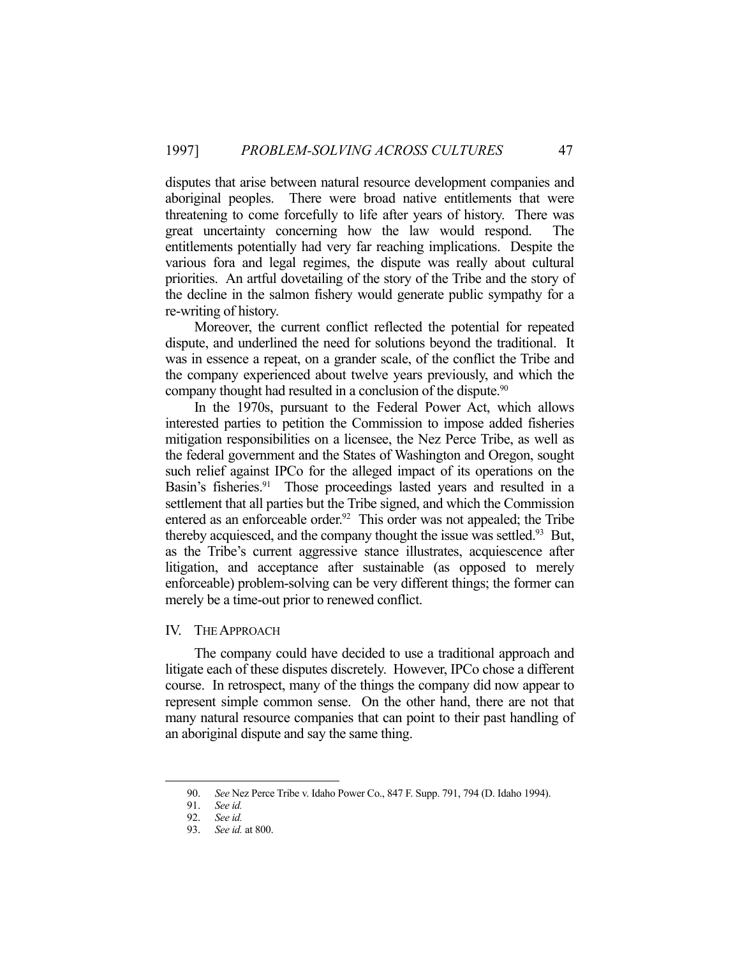disputes that arise between natural resource development companies and aboriginal peoples. There were broad native entitlements that were threatening to come forcefully to life after years of history. There was great uncertainty concerning how the law would respond. The entitlements potentially had very far reaching implications. Despite the various fora and legal regimes, the dispute was really about cultural priorities. An artful dovetailing of the story of the Tribe and the story of the decline in the salmon fishery would generate public sympathy for a re-writing of history.

 Moreover, the current conflict reflected the potential for repeated dispute, and underlined the need for solutions beyond the traditional. It was in essence a repeat, on a grander scale, of the conflict the Tribe and the company experienced about twelve years previously, and which the company thought had resulted in a conclusion of the dispute.<sup>90</sup>

 In the 1970s, pursuant to the Federal Power Act, which allows interested parties to petition the Commission to impose added fisheries mitigation responsibilities on a licensee, the Nez Perce Tribe, as well as the federal government and the States of Washington and Oregon, sought such relief against IPCo for the alleged impact of its operations on the Basin's fisheries.<sup>91</sup> Those proceedings lasted years and resulted in a settlement that all parties but the Tribe signed, and which the Commission entered as an enforceable order.<sup>92</sup> This order was not appealed; the Tribe thereby acquiesced, and the company thought the issue was settled.<sup>93</sup> But, as the Tribe's current aggressive stance illustrates, acquiescence after litigation, and acceptance after sustainable (as opposed to merely enforceable) problem-solving can be very different things; the former can merely be a time-out prior to renewed conflict.

### IV. THE APPROACH

 The company could have decided to use a traditional approach and litigate each of these disputes discretely. However, IPCo chose a different course. In retrospect, many of the things the company did now appear to represent simple common sense. On the other hand, there are not that many natural resource companies that can point to their past handling of an aboriginal dispute and say the same thing.

 <sup>90.</sup> *See* Nez Perce Tribe v. Idaho Power Co., 847 F. Supp. 791, 794 (D. Idaho 1994).

 <sup>91.</sup> *See id.* 

 <sup>92.</sup> *See id.* 

 <sup>93.</sup> *See id.* at 800.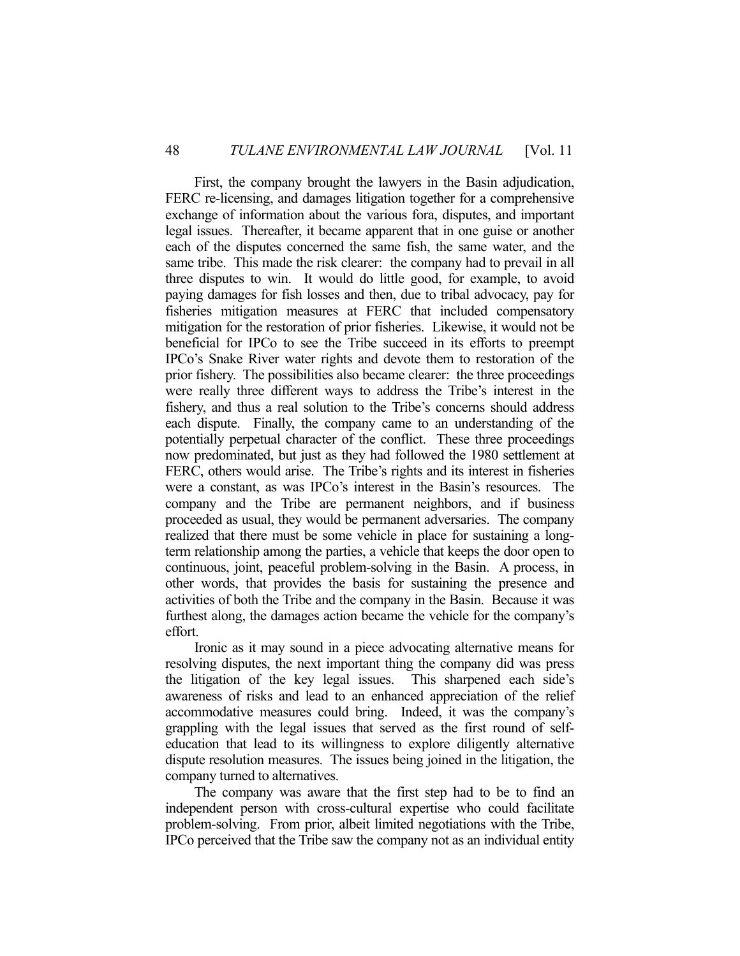First, the company brought the lawyers in the Basin adjudication, FERC re-licensing, and damages litigation together for a comprehensive exchange of information about the various fora, disputes, and important legal issues. Thereafter, it became apparent that in one guise or another each of the disputes concerned the same fish, the same water, and the same tribe. This made the risk clearer: the company had to prevail in all three disputes to win. It would do little good, for example, to avoid paying damages for fish losses and then, due to tribal advocacy, pay for fisheries mitigation measures at FERC that included compensatory mitigation for the restoration of prior fisheries. Likewise, it would not be beneficial for IPCo to see the Tribe succeed in its efforts to preempt IPCo's Snake River water rights and devote them to restoration of the prior fishery. The possibilities also became clearer: the three proceedings were really three different ways to address the Tribe's interest in the fishery, and thus a real solution to the Tribe's concerns should address each dispute. Finally, the company came to an understanding of the potentially perpetual character of the conflict. These three proceedings now predominated, but just as they had followed the 1980 settlement at FERC, others would arise. The Tribe's rights and its interest in fisheries were a constant, as was IPCo's interest in the Basin's resources. The company and the Tribe are permanent neighbors, and if business proceeded as usual, they would be permanent adversaries. The company realized that there must be some vehicle in place for sustaining a longterm relationship among the parties, a vehicle that keeps the door open to continuous, joint, peaceful problem-solving in the Basin. A process, in other words, that provides the basis for sustaining the presence and activities of both the Tribe and the company in the Basin. Because it was furthest along, the damages action became the vehicle for the company's effort.

 Ironic as it may sound in a piece advocating alternative means for resolving disputes, the next important thing the company did was press the litigation of the key legal issues. This sharpened each side's awareness of risks and lead to an enhanced appreciation of the relief accommodative measures could bring. Indeed, it was the company's grappling with the legal issues that served as the first round of selfeducation that lead to its willingness to explore diligently alternative dispute resolution measures. The issues being joined in the litigation, the company turned to alternatives.

 The company was aware that the first step had to be to find an independent person with cross-cultural expertise who could facilitate problem-solving. From prior, albeit limited negotiations with the Tribe, IPCo perceived that the Tribe saw the company not as an individual entity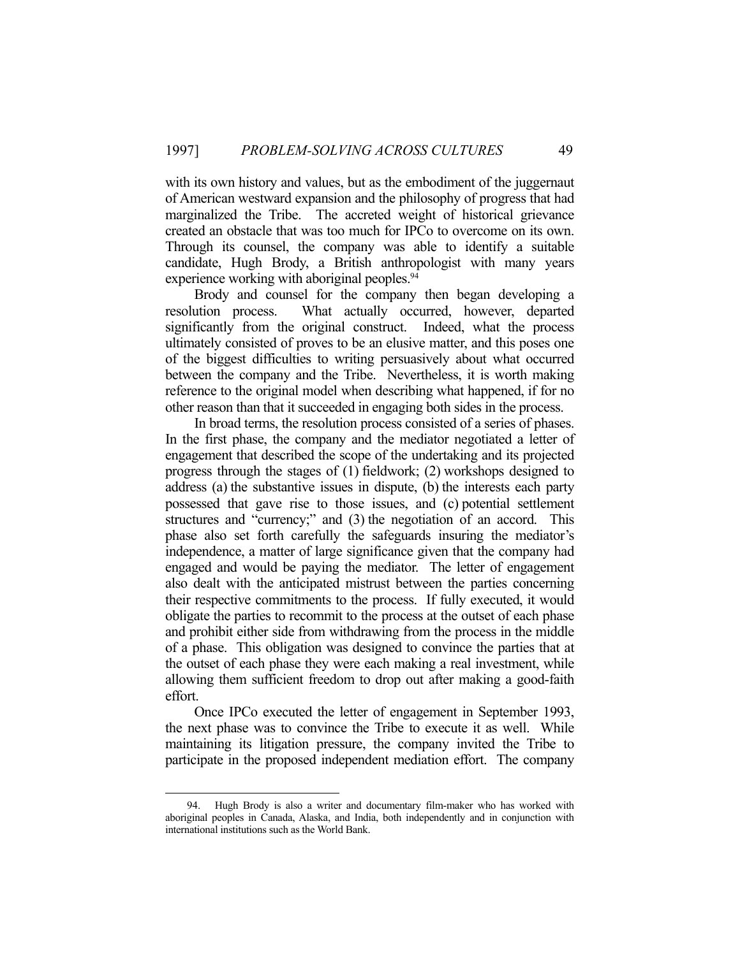with its own history and values, but as the embodiment of the juggernaut of American westward expansion and the philosophy of progress that had marginalized the Tribe. The accreted weight of historical grievance created an obstacle that was too much for IPCo to overcome on its own. Through its counsel, the company was able to identify a suitable candidate, Hugh Brody, a British anthropologist with many years experience working with aboriginal peoples.<sup>94</sup>

 Brody and counsel for the company then began developing a resolution process. What actually occurred, however, departed significantly from the original construct. Indeed, what the process ultimately consisted of proves to be an elusive matter, and this poses one of the biggest difficulties to writing persuasively about what occurred between the company and the Tribe. Nevertheless, it is worth making reference to the original model when describing what happened, if for no other reason than that it succeeded in engaging both sides in the process.

 In broad terms, the resolution process consisted of a series of phases. In the first phase, the company and the mediator negotiated a letter of engagement that described the scope of the undertaking and its projected progress through the stages of (1) fieldwork; (2) workshops designed to address (a) the substantive issues in dispute, (b) the interests each party possessed that gave rise to those issues, and (c) potential settlement structures and "currency;" and (3) the negotiation of an accord. This phase also set forth carefully the safeguards insuring the mediator's independence, a matter of large significance given that the company had engaged and would be paying the mediator. The letter of engagement also dealt with the anticipated mistrust between the parties concerning their respective commitments to the process. If fully executed, it would obligate the parties to recommit to the process at the outset of each phase and prohibit either side from withdrawing from the process in the middle of a phase. This obligation was designed to convince the parties that at the outset of each phase they were each making a real investment, while allowing them sufficient freedom to drop out after making a good-faith effort.

 Once IPCo executed the letter of engagement in September 1993, the next phase was to convince the Tribe to execute it as well. While maintaining its litigation pressure, the company invited the Tribe to participate in the proposed independent mediation effort. The company

 <sup>94.</sup> Hugh Brody is also a writer and documentary film-maker who has worked with aboriginal peoples in Canada, Alaska, and India, both independently and in conjunction with international institutions such as the World Bank.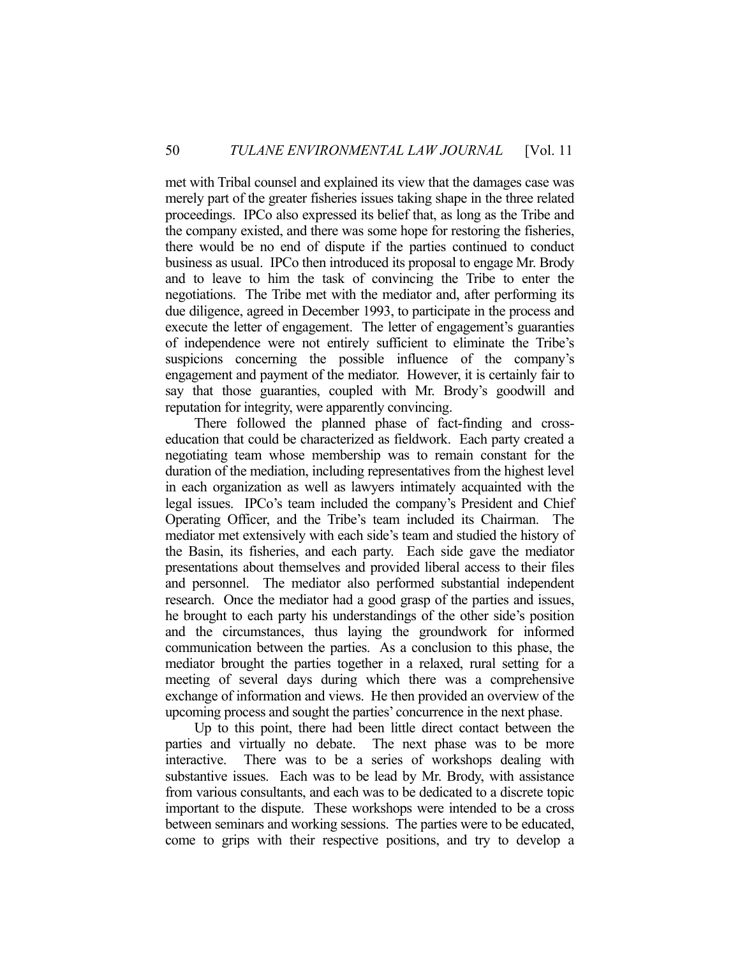met with Tribal counsel and explained its view that the damages case was merely part of the greater fisheries issues taking shape in the three related proceedings. IPCo also expressed its belief that, as long as the Tribe and the company existed, and there was some hope for restoring the fisheries, there would be no end of dispute if the parties continued to conduct business as usual. IPCo then introduced its proposal to engage Mr. Brody and to leave to him the task of convincing the Tribe to enter the negotiations. The Tribe met with the mediator and, after performing its due diligence, agreed in December 1993, to participate in the process and execute the letter of engagement. The letter of engagement's guaranties of independence were not entirely sufficient to eliminate the Tribe's suspicions concerning the possible influence of the company's engagement and payment of the mediator. However, it is certainly fair to say that those guaranties, coupled with Mr. Brody's goodwill and reputation for integrity, were apparently convincing.

 There followed the planned phase of fact-finding and crosseducation that could be characterized as fieldwork. Each party created a negotiating team whose membership was to remain constant for the duration of the mediation, including representatives from the highest level in each organization as well as lawyers intimately acquainted with the legal issues. IPCo's team included the company's President and Chief Operating Officer, and the Tribe's team included its Chairman. The mediator met extensively with each side's team and studied the history of the Basin, its fisheries, and each party. Each side gave the mediator presentations about themselves and provided liberal access to their files and personnel. The mediator also performed substantial independent research. Once the mediator had a good grasp of the parties and issues, he brought to each party his understandings of the other side's position and the circumstances, thus laying the groundwork for informed communication between the parties. As a conclusion to this phase, the mediator brought the parties together in a relaxed, rural setting for a meeting of several days during which there was a comprehensive exchange of information and views. He then provided an overview of the upcoming process and sought the parties' concurrence in the next phase.

 Up to this point, there had been little direct contact between the parties and virtually no debate. The next phase was to be more interactive. There was to be a series of workshops dealing with substantive issues. Each was to be lead by Mr. Brody, with assistance from various consultants, and each was to be dedicated to a discrete topic important to the dispute. These workshops were intended to be a cross between seminars and working sessions. The parties were to be educated, come to grips with their respective positions, and try to develop a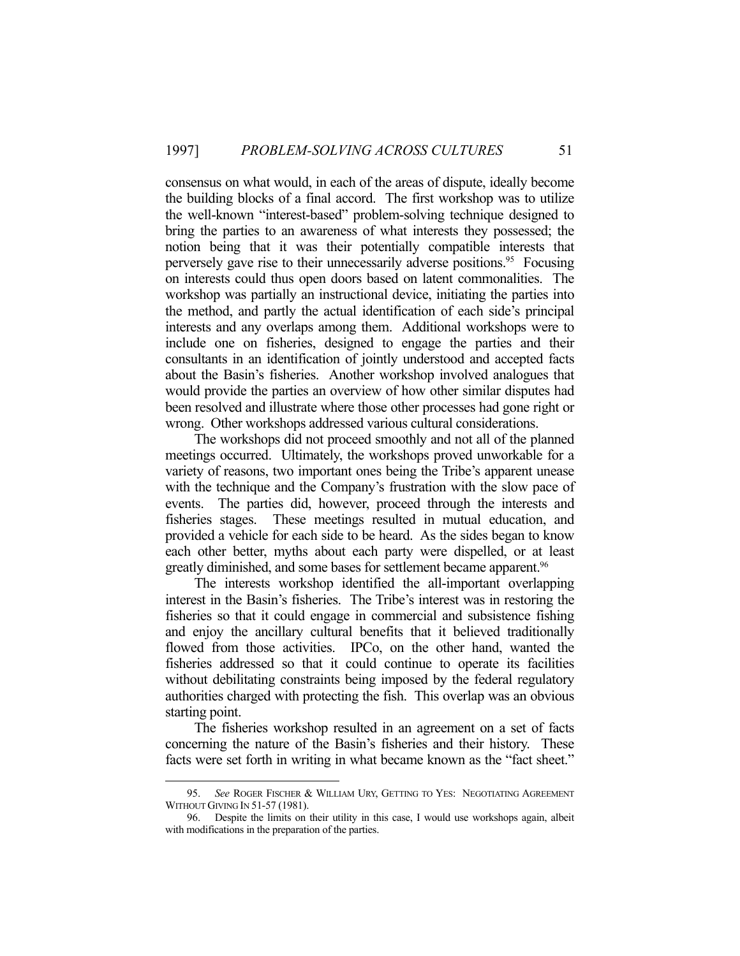consensus on what would, in each of the areas of dispute, ideally become the building blocks of a final accord. The first workshop was to utilize the well-known "interest-based" problem-solving technique designed to bring the parties to an awareness of what interests they possessed; the notion being that it was their potentially compatible interests that perversely gave rise to their unnecessarily adverse positions.<sup>95</sup> Focusing on interests could thus open doors based on latent commonalities. The workshop was partially an instructional device, initiating the parties into the method, and partly the actual identification of each side's principal interests and any overlaps among them. Additional workshops were to include one on fisheries, designed to engage the parties and their consultants in an identification of jointly understood and accepted facts about the Basin's fisheries. Another workshop involved analogues that would provide the parties an overview of how other similar disputes had been resolved and illustrate where those other processes had gone right or wrong. Other workshops addressed various cultural considerations.

 The workshops did not proceed smoothly and not all of the planned meetings occurred. Ultimately, the workshops proved unworkable for a variety of reasons, two important ones being the Tribe's apparent unease with the technique and the Company's frustration with the slow pace of events. The parties did, however, proceed through the interests and fisheries stages. These meetings resulted in mutual education, and provided a vehicle for each side to be heard. As the sides began to know each other better, myths about each party were dispelled, or at least greatly diminished, and some bases for settlement became apparent.<sup>96</sup>

 The interests workshop identified the all-important overlapping interest in the Basin's fisheries. The Tribe's interest was in restoring the fisheries so that it could engage in commercial and subsistence fishing and enjoy the ancillary cultural benefits that it believed traditionally flowed from those activities. IPCo, on the other hand, wanted the fisheries addressed so that it could continue to operate its facilities without debilitating constraints being imposed by the federal regulatory authorities charged with protecting the fish. This overlap was an obvious starting point.

 The fisheries workshop resulted in an agreement on a set of facts concerning the nature of the Basin's fisheries and their history. These facts were set forth in writing in what became known as the "fact sheet."

 <sup>95.</sup> *See* ROGER FISCHER & WILLIAM URY, GETTING TO YES: NEGOTIATING AGREEMENT WITHOUT GIVING IN 51-57 (1981).

 <sup>96.</sup> Despite the limits on their utility in this case, I would use workshops again, albeit with modifications in the preparation of the parties.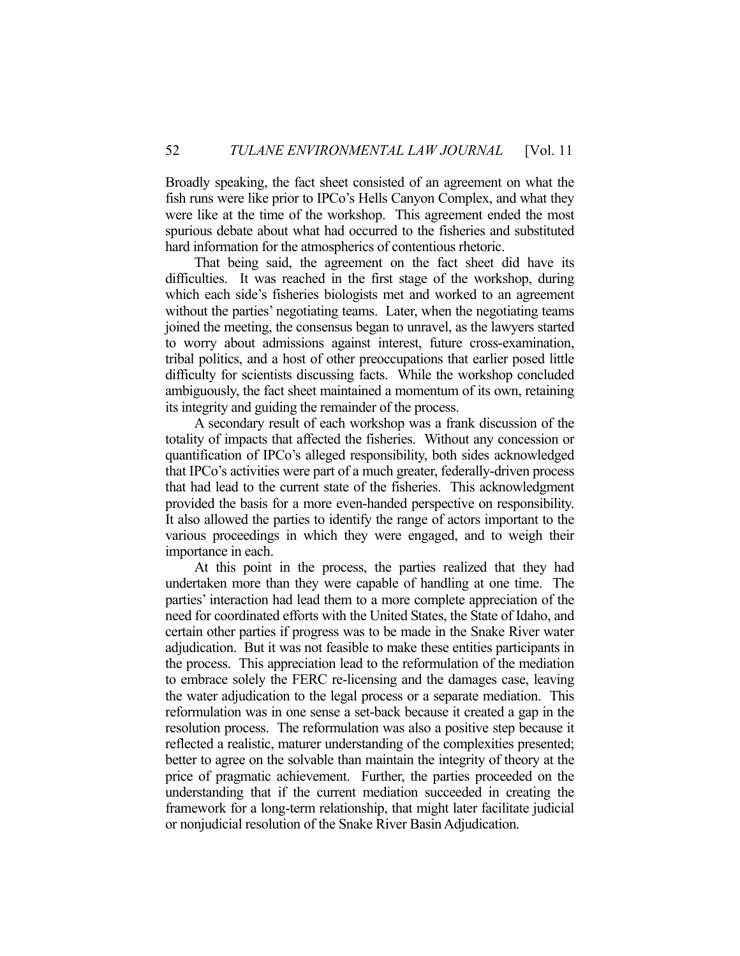Broadly speaking, the fact sheet consisted of an agreement on what the fish runs were like prior to IPCo's Hells Canyon Complex, and what they were like at the time of the workshop. This agreement ended the most spurious debate about what had occurred to the fisheries and substituted hard information for the atmospherics of contentious rhetoric.

 That being said, the agreement on the fact sheet did have its difficulties. It was reached in the first stage of the workshop, during which each side's fisheries biologists met and worked to an agreement without the parties' negotiating teams. Later, when the negotiating teams joined the meeting, the consensus began to unravel, as the lawyers started to worry about admissions against interest, future cross-examination, tribal politics, and a host of other preoccupations that earlier posed little difficulty for scientists discussing facts. While the workshop concluded ambiguously, the fact sheet maintained a momentum of its own, retaining its integrity and guiding the remainder of the process.

 A secondary result of each workshop was a frank discussion of the totality of impacts that affected the fisheries. Without any concession or quantification of IPCo's alleged responsibility, both sides acknowledged that IPCo's activities were part of a much greater, federally-driven process that had lead to the current state of the fisheries. This acknowledgment provided the basis for a more even-handed perspective on responsibility. It also allowed the parties to identify the range of actors important to the various proceedings in which they were engaged, and to weigh their importance in each.

 At this point in the process, the parties realized that they had undertaken more than they were capable of handling at one time. The parties' interaction had lead them to a more complete appreciation of the need for coordinated efforts with the United States, the State of Idaho, and certain other parties if progress was to be made in the Snake River water adjudication. But it was not feasible to make these entities participants in the process. This appreciation lead to the reformulation of the mediation to embrace solely the FERC re-licensing and the damages case, leaving the water adjudication to the legal process or a separate mediation. This reformulation was in one sense a set-back because it created a gap in the resolution process. The reformulation was also a positive step because it reflected a realistic, maturer understanding of the complexities presented; better to agree on the solvable than maintain the integrity of theory at the price of pragmatic achievement. Further, the parties proceeded on the understanding that if the current mediation succeeded in creating the framework for a long-term relationship, that might later facilitate judicial or nonjudicial resolution of the Snake River Basin Adjudication.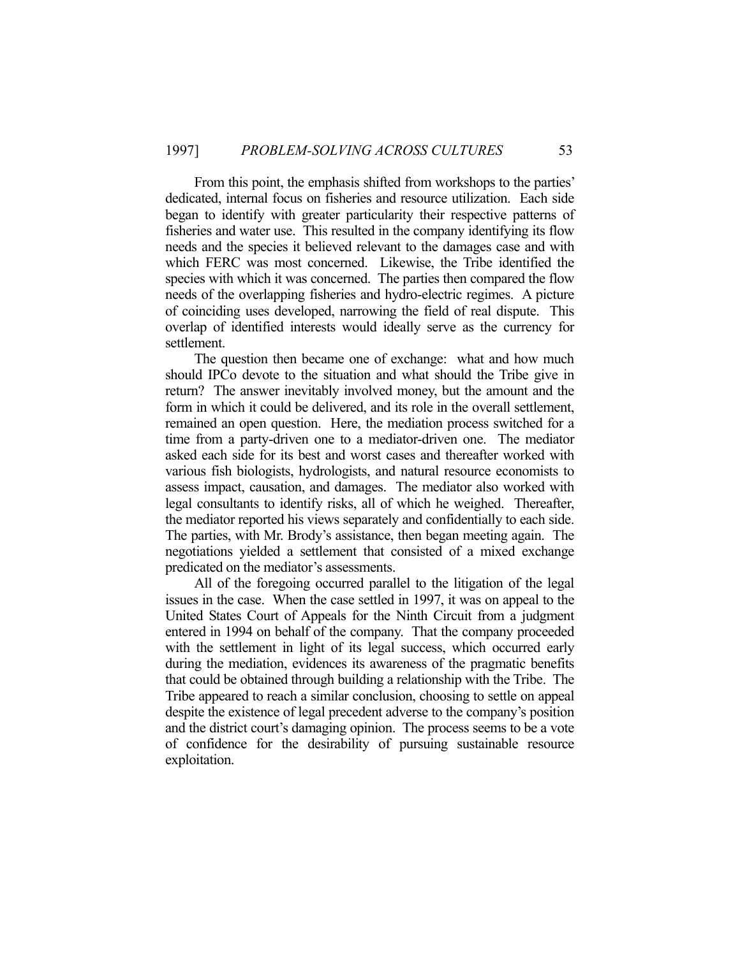From this point, the emphasis shifted from workshops to the parties' dedicated, internal focus on fisheries and resource utilization. Each side began to identify with greater particularity their respective patterns of fisheries and water use. This resulted in the company identifying its flow needs and the species it believed relevant to the damages case and with which FERC was most concerned. Likewise, the Tribe identified the species with which it was concerned. The parties then compared the flow needs of the overlapping fisheries and hydro-electric regimes. A picture of coinciding uses developed, narrowing the field of real dispute. This overlap of identified interests would ideally serve as the currency for settlement.

 The question then became one of exchange: what and how much should IPCo devote to the situation and what should the Tribe give in return? The answer inevitably involved money, but the amount and the form in which it could be delivered, and its role in the overall settlement, remained an open question. Here, the mediation process switched for a time from a party-driven one to a mediator-driven one. The mediator asked each side for its best and worst cases and thereafter worked with various fish biologists, hydrologists, and natural resource economists to assess impact, causation, and damages. The mediator also worked with legal consultants to identify risks, all of which he weighed. Thereafter, the mediator reported his views separately and confidentially to each side. The parties, with Mr. Brody's assistance, then began meeting again. The negotiations yielded a settlement that consisted of a mixed exchange predicated on the mediator's assessments.

 All of the foregoing occurred parallel to the litigation of the legal issues in the case. When the case settled in 1997, it was on appeal to the United States Court of Appeals for the Ninth Circuit from a judgment entered in 1994 on behalf of the company. That the company proceeded with the settlement in light of its legal success, which occurred early during the mediation, evidences its awareness of the pragmatic benefits that could be obtained through building a relationship with the Tribe. The Tribe appeared to reach a similar conclusion, choosing to settle on appeal despite the existence of legal precedent adverse to the company's position and the district court's damaging opinion. The process seems to be a vote of confidence for the desirability of pursuing sustainable resource exploitation.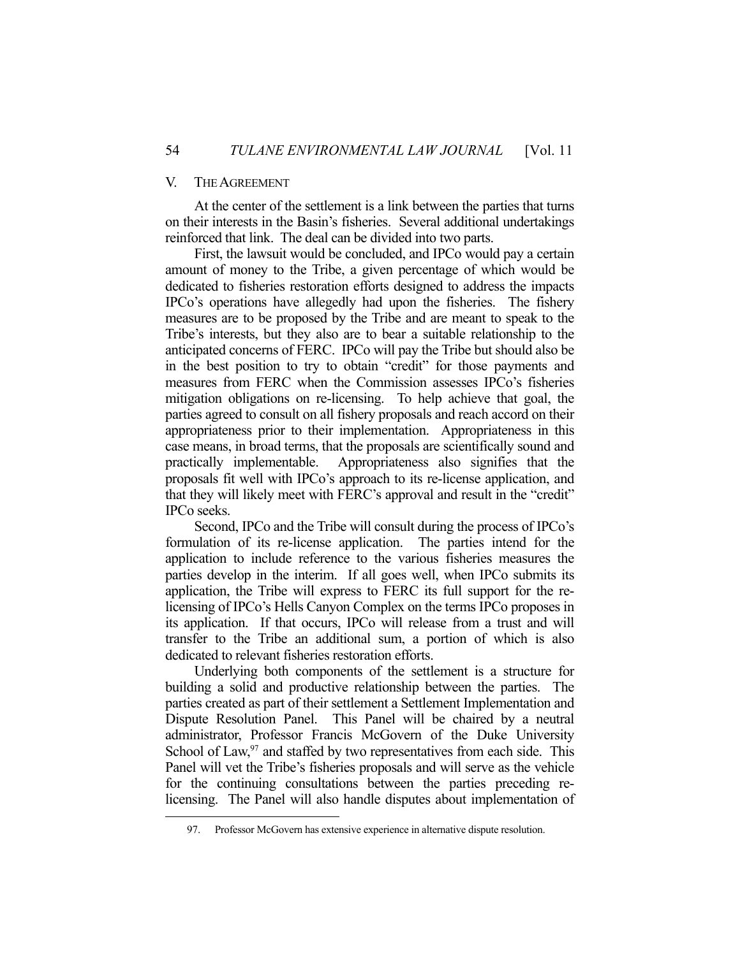#### V. THE AGREEMENT

1

 At the center of the settlement is a link between the parties that turns on their interests in the Basin's fisheries. Several additional undertakings reinforced that link. The deal can be divided into two parts.

 First, the lawsuit would be concluded, and IPCo would pay a certain amount of money to the Tribe, a given percentage of which would be dedicated to fisheries restoration efforts designed to address the impacts IPCo's operations have allegedly had upon the fisheries. The fishery measures are to be proposed by the Tribe and are meant to speak to the Tribe's interests, but they also are to bear a suitable relationship to the anticipated concerns of FERC. IPCo will pay the Tribe but should also be in the best position to try to obtain "credit" for those payments and measures from FERC when the Commission assesses IPCo's fisheries mitigation obligations on re-licensing. To help achieve that goal, the parties agreed to consult on all fishery proposals and reach accord on their appropriateness prior to their implementation. Appropriateness in this case means, in broad terms, that the proposals are scientifically sound and practically implementable. Appropriateness also signifies that the proposals fit well with IPCo's approach to its re-license application, and that they will likely meet with FERC's approval and result in the "credit" IPCo seeks.

 Second, IPCo and the Tribe will consult during the process of IPCo's formulation of its re-license application. The parties intend for the application to include reference to the various fisheries measures the parties develop in the interim. If all goes well, when IPCo submits its application, the Tribe will express to FERC its full support for the relicensing of IPCo's Hells Canyon Complex on the terms IPCo proposes in its application. If that occurs, IPCo will release from a trust and will transfer to the Tribe an additional sum, a portion of which is also dedicated to relevant fisheries restoration efforts.

 Underlying both components of the settlement is a structure for building a solid and productive relationship between the parties. The parties created as part of their settlement a Settlement Implementation and Dispute Resolution Panel. This Panel will be chaired by a neutral administrator, Professor Francis McGovern of the Duke University School of Law, $97$  and staffed by two representatives from each side. This Panel will vet the Tribe's fisheries proposals and will serve as the vehicle for the continuing consultations between the parties preceding relicensing. The Panel will also handle disputes about implementation of

 <sup>97.</sup> Professor McGovern has extensive experience in alternative dispute resolution.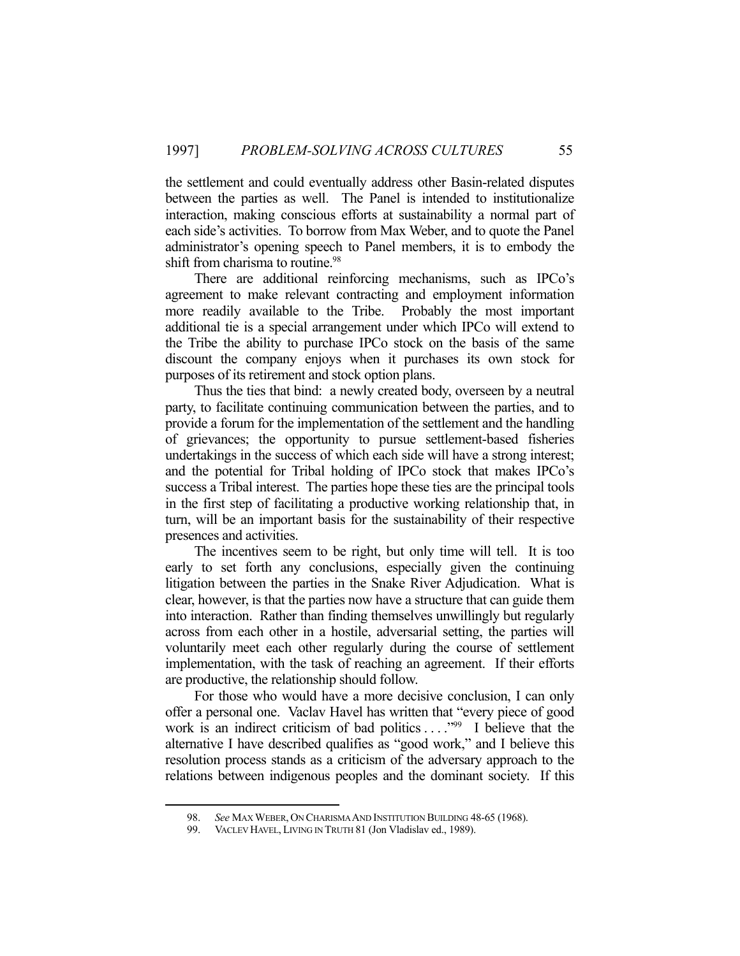the settlement and could eventually address other Basin-related disputes between the parties as well. The Panel is intended to institutionalize interaction, making conscious efforts at sustainability a normal part of each side's activities. To borrow from Max Weber, and to quote the Panel administrator's opening speech to Panel members, it is to embody the shift from charisma to routine.<sup>98</sup>

 There are additional reinforcing mechanisms, such as IPCo's agreement to make relevant contracting and employment information more readily available to the Tribe. Probably the most important additional tie is a special arrangement under which IPCo will extend to the Tribe the ability to purchase IPCo stock on the basis of the same discount the company enjoys when it purchases its own stock for purposes of its retirement and stock option plans.

 Thus the ties that bind: a newly created body, overseen by a neutral party, to facilitate continuing communication between the parties, and to provide a forum for the implementation of the settlement and the handling of grievances; the opportunity to pursue settlement-based fisheries undertakings in the success of which each side will have a strong interest; and the potential for Tribal holding of IPCo stock that makes IPCo's success a Tribal interest. The parties hope these ties are the principal tools in the first step of facilitating a productive working relationship that, in turn, will be an important basis for the sustainability of their respective presences and activities.

 The incentives seem to be right, but only time will tell. It is too early to set forth any conclusions, especially given the continuing litigation between the parties in the Snake River Adjudication. What is clear, however, is that the parties now have a structure that can guide them into interaction. Rather than finding themselves unwillingly but regularly across from each other in a hostile, adversarial setting, the parties will voluntarily meet each other regularly during the course of settlement implementation, with the task of reaching an agreement. If their efforts are productive, the relationship should follow.

 For those who would have a more decisive conclusion, I can only offer a personal one. Vaclav Havel has written that "every piece of good work is an indirect criticism of bad politics . . . . "99 I believe that the alternative I have described qualifies as "good work," and I believe this resolution process stands as a criticism of the adversary approach to the relations between indigenous peoples and the dominant society. If this

<u>.</u>

<sup>98.</sup> *See* MAX WEBER, ON CHARISMA AND INSTITUTION BUILDING 48-65 (1968).<br>99. VACLEV HAVEL, LIVING IN TRUTH 81 (Jon Vladislav ed., 1989).

VACLEV HAVEL, LIVING IN TRUTH 81 (Jon Vladislav ed., 1989).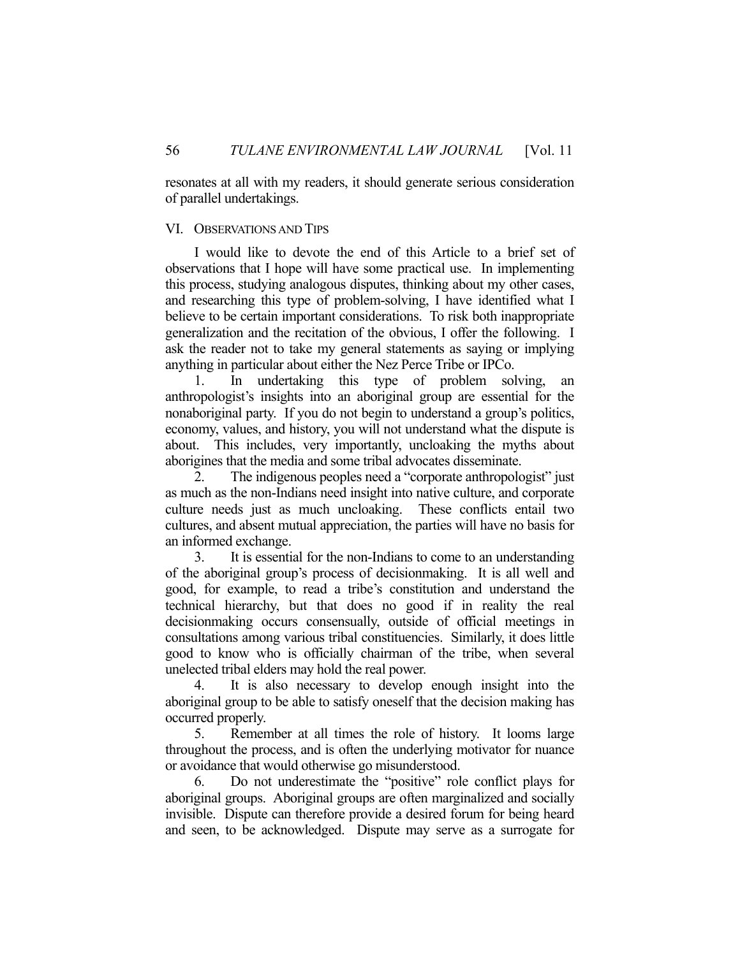resonates at all with my readers, it should generate serious consideration of parallel undertakings.

#### VI. OBSERVATIONS AND TIPS

 I would like to devote the end of this Article to a brief set of observations that I hope will have some practical use. In implementing this process, studying analogous disputes, thinking about my other cases, and researching this type of problem-solving, I have identified what I believe to be certain important considerations. To risk both inappropriate generalization and the recitation of the obvious, I offer the following. I ask the reader not to take my general statements as saying or implying anything in particular about either the Nez Perce Tribe or IPCo.

 1. In undertaking this type of problem solving, an anthropologist's insights into an aboriginal group are essential for the nonaboriginal party. If you do not begin to understand a group's politics, economy, values, and history, you will not understand what the dispute is about. This includes, very importantly, uncloaking the myths about aborigines that the media and some tribal advocates disseminate.

 2. The indigenous peoples need a "corporate anthropologist" just as much as the non-Indians need insight into native culture, and corporate culture needs just as much uncloaking. These conflicts entail two cultures, and absent mutual appreciation, the parties will have no basis for an informed exchange.

 3. It is essential for the non-Indians to come to an understanding of the aboriginal group's process of decisionmaking. It is all well and good, for example, to read a tribe's constitution and understand the technical hierarchy, but that does no good if in reality the real decisionmaking occurs consensually, outside of official meetings in consultations among various tribal constituencies. Similarly, it does little good to know who is officially chairman of the tribe, when several unelected tribal elders may hold the real power.

 4. It is also necessary to develop enough insight into the aboriginal group to be able to satisfy oneself that the decision making has occurred properly.

 5. Remember at all times the role of history. It looms large throughout the process, and is often the underlying motivator for nuance or avoidance that would otherwise go misunderstood.

 6. Do not underestimate the "positive" role conflict plays for aboriginal groups. Aboriginal groups are often marginalized and socially invisible. Dispute can therefore provide a desired forum for being heard and seen, to be acknowledged. Dispute may serve as a surrogate for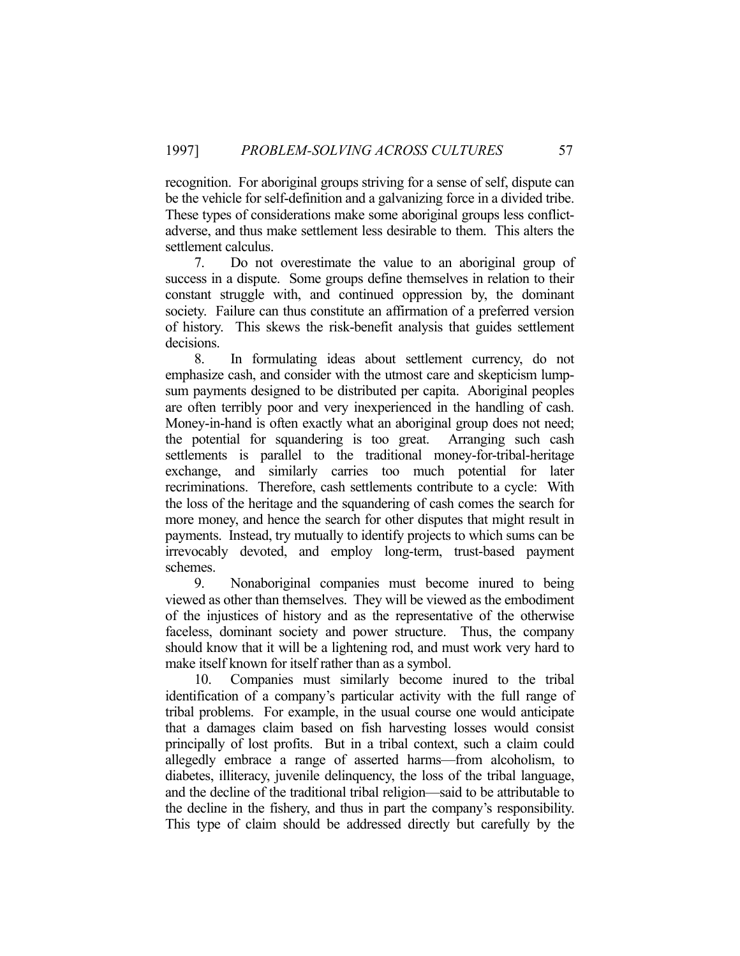recognition. For aboriginal groups striving for a sense of self, dispute can be the vehicle for self-definition and a galvanizing force in a divided tribe. These types of considerations make some aboriginal groups less conflictadverse, and thus make settlement less desirable to them. This alters the settlement calculus.

 7. Do not overestimate the value to an aboriginal group of success in a dispute. Some groups define themselves in relation to their constant struggle with, and continued oppression by, the dominant society. Failure can thus constitute an affirmation of a preferred version of history. This skews the risk-benefit analysis that guides settlement decisions.

 8. In formulating ideas about settlement currency, do not emphasize cash, and consider with the utmost care and skepticism lumpsum payments designed to be distributed per capita. Aboriginal peoples are often terribly poor and very inexperienced in the handling of cash. Money-in-hand is often exactly what an aboriginal group does not need; the potential for squandering is too great. Arranging such cash settlements is parallel to the traditional money-for-tribal-heritage exchange, and similarly carries too much potential for later recriminations. Therefore, cash settlements contribute to a cycle: With the loss of the heritage and the squandering of cash comes the search for more money, and hence the search for other disputes that might result in payments. Instead, try mutually to identify projects to which sums can be irrevocably devoted, and employ long-term, trust-based payment schemes.

 9. Nonaboriginal companies must become inured to being viewed as other than themselves. They will be viewed as the embodiment of the injustices of history and as the representative of the otherwise faceless, dominant society and power structure. Thus, the company should know that it will be a lightening rod, and must work very hard to make itself known for itself rather than as a symbol.

 10. Companies must similarly become inured to the tribal identification of a company's particular activity with the full range of tribal problems. For example, in the usual course one would anticipate that a damages claim based on fish harvesting losses would consist principally of lost profits. But in a tribal context, such a claim could allegedly embrace a range of asserted harms—from alcoholism, to diabetes, illiteracy, juvenile delinquency, the loss of the tribal language, and the decline of the traditional tribal religion—said to be attributable to the decline in the fishery, and thus in part the company's responsibility. This type of claim should be addressed directly but carefully by the